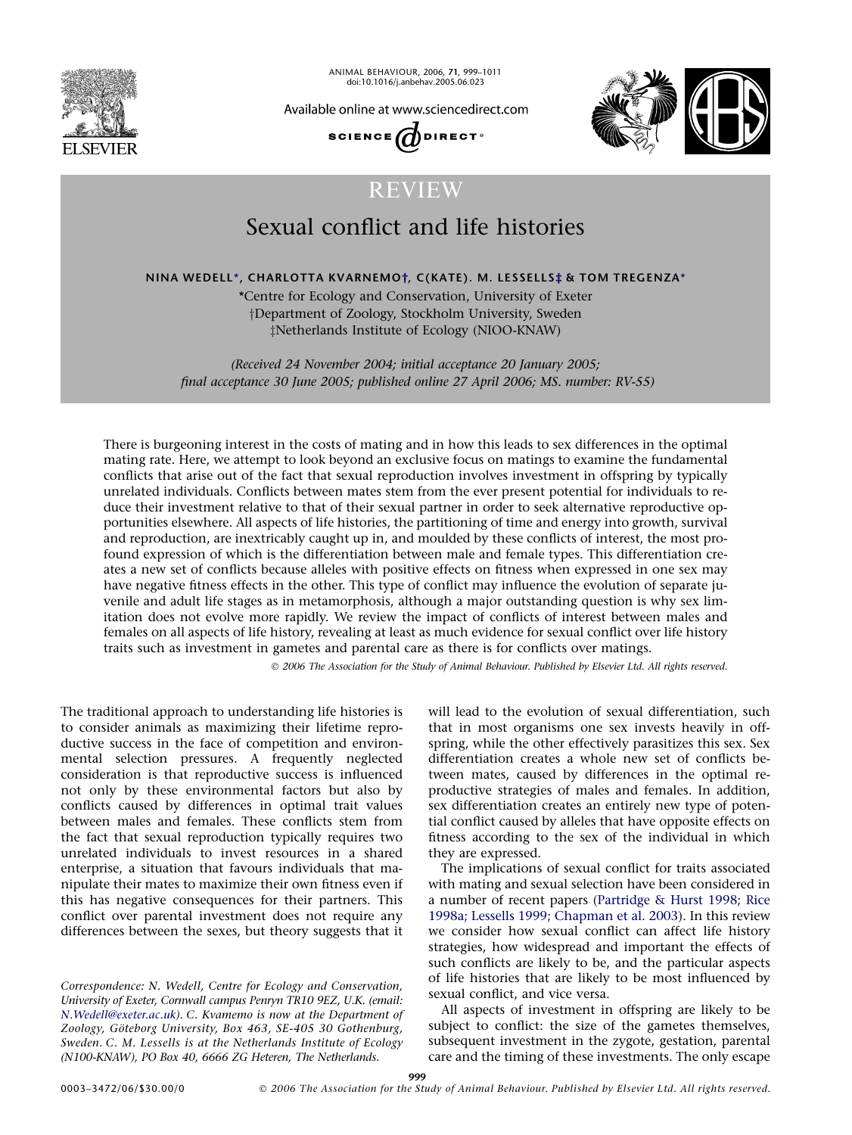

ANIMAL BEHAVIOUR, 2006, 71, 999–1011 doi:10.1016/j.anbehav.2005.06.023

Available online at www.sciencedirect.com





# REVIEW

# Sexual conflict and life histories

# NINA WEDELL\*, CHARLOTTA KVARNEMO†, C(KATE). M. LESSELLS‡ & TOM TREGENZA\*

\*Centre for Ecology and Conservation, University of Exeter <sup>†</sup>Department of Zoology, Stockholm University, Sweden zNetherlands Institute of Ecology (NIOO-KNAW)

(Received 24 November 2004; initial acceptance 20 January 2005; final acceptance 30 June 2005; published online 27 April 2006; MS. number: RV-55)

There is burgeoning interest in the costs of mating and in how this leads to sex differences in the optimal mating rate. Here, we attempt to look beyond an exclusive focus on matings to examine the fundamental conflicts that arise out of the fact that sexual reproduction involves investment in offspring by typically unrelated individuals. Conflicts between mates stem from the ever present potential for individuals to reduce their investment relative to that of their sexual partner in order to seek alternative reproductive opportunities elsewhere. All aspects of life histories, the partitioning of time and energy into growth, survival and reproduction, are inextricably caught up in, and moulded by these conflicts of interest, the most profound expression of which is the differentiation between male and female types. This differentiation creates a new set of conflicts because alleles with positive effects on fitness when expressed in one sex may have negative fitness effects in the other. This type of conflict may influence the evolution of separate juvenile and adult life stages as in metamorphosis, although a major outstanding question is why sex limitation does not evolve more rapidly. We review the impact of conflicts of interest between males and females on all aspects of life history, revealing at least as much evidence for sexual conflict over life history traits such as investment in gametes and parental care as there is for conflicts over matings.

2006 The Association for the Study of Animal Behaviour. Published by Elsevier Ltd. All rights reserved.

The traditional approach to understanding life histories is to consider animals as maximizing their lifetime reproductive success in the face of competition and environmental selection pressures. A frequently neglected consideration is that reproductive success is influenced not only by these environmental factors but also by conflicts caused by differences in optimal trait values between males and females. These conflicts stem from the fact that sexual reproduction typically requires two unrelated individuals to invest resources in a shared enterprise, a situation that favours individuals that manipulate their mates to maximize their own fitness even if this has negative consequences for their partners. This conflict over parental investment does not require any differences between the sexes, but theory suggests that it

Correspondence: N. Wedell, Centre for Ecology and Conservation, University of Exeter, Cornwall campus Penryn TR10 9EZ, U.K. (email: [N.Wedell@exeter.ac.uk](mailto:<?tjl=20mm?><?tjl?>N.Wedell@exeter.ac.uk)). C. Kvamemo is now at the Department of Zoology, Göteborg University, Box 463, SE-405 30 Gothenburg, Sweden. C. M. Lessells is at the Netherlands Institute of Ecology (N100-KNAW), PO Box 40, 6666 ZG Heteren, The Netherlands.

will lead to the evolution of sexual differentiation, such that in most organisms one sex invests heavily in offspring, while the other effectively parasitizes this sex. Sex differentiation creates a whole new set of conflicts between mates, caused by differences in the optimal reproductive strategies of males and females. In addition, sex differentiation creates an entirely new type of potential conflict caused by alleles that have opposite effects on fitness according to the sex of the individual in which they are expressed.

The implications of sexual conflict for traits associated with mating and sexual selection have been considered in a number of recent papers ([Partridge & Hurst 1998; Rice](#page-11-0) [1998a; Lessells 1999; Chapman et al. 2003](#page-11-0)). In this review we consider how sexual conflict can affect life history strategies, how widespread and important the effects of such conflicts are likely to be, and the particular aspects of life histories that are likely to be most influenced by sexual conflict, and vice versa.

All aspects of investment in offspring are likely to be subject to conflict: the size of the gametes themselves, subsequent investment in the zygote, gestation, parental care and the timing of these investments. The only escape

999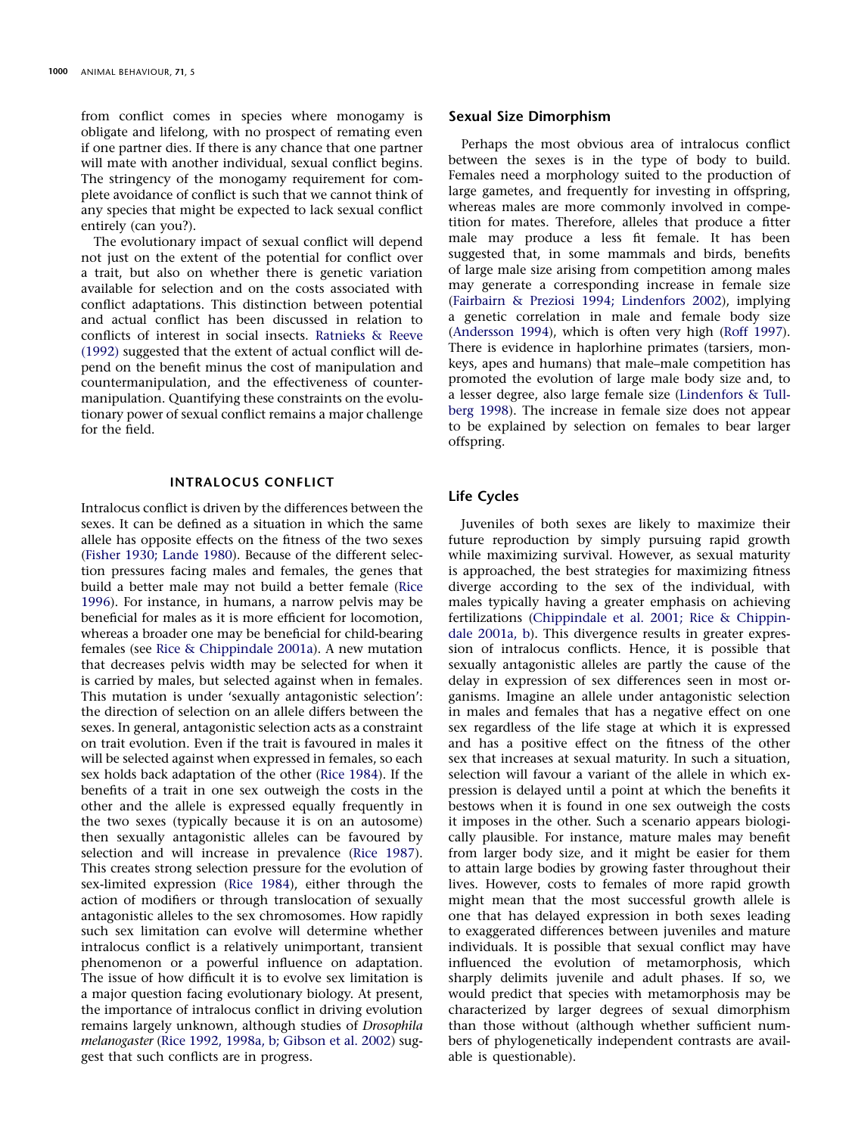from conflict comes in species where monogamy is obligate and lifelong, with no prospect of remating even if one partner dies. If there is any chance that one partner will mate with another individual, sexual conflict begins. The stringency of the monogamy requirement for complete avoidance of conflict is such that we cannot think of any species that might be expected to lack sexual conflict entirely (can you?).

The evolutionary impact of sexual conflict will depend not just on the extent of the potential for conflict over a trait, but also on whether there is genetic variation available for selection and on the costs associated with conflict adaptations. This distinction between potential and actual conflict has been discussed in relation to conflicts of interest in social insects. [Ratnieks & Reeve](#page-11-0) [\(1992\)](#page-11-0) suggested that the extent of actual conflict will depend on the benefit minus the cost of manipulation and countermanipulation, and the effectiveness of countermanipulation. Quantifying these constraints on the evolutionary power of sexual conflict remains a major challenge for the field.

# INTRALOCUS CONFLICT

Intralocus conflict is driven by the differences between the sexes. It can be defined as a situation in which the same allele has opposite effects on the fitness of the two sexes ([Fisher 1930; Lande 1980\)](#page-9-0). Because of the different selection pressures facing males and females, the genes that build a better male may not build a better female ([Rice](#page-11-0) [1996](#page-11-0)). For instance, in humans, a narrow pelvis may be beneficial for males as it is more efficient for locomotion, whereas a broader one may be beneficial for child-bearing females (see [Rice & Chippindale 2001a](#page-11-0)). A new mutation that decreases pelvis width may be selected for when it is carried by males, but selected against when in females. This mutation is under 'sexually antagonistic selection': the direction of selection on an allele differs between the sexes. In general, antagonistic selection acts as a constraint on trait evolution. Even if the trait is favoured in males it will be selected against when expressed in females, so each sex holds back adaptation of the other ([Rice 1984](#page-11-0)). If the benefits of a trait in one sex outweigh the costs in the other and the allele is expressed equally frequently in the two sexes (typically because it is on an autosome) then sexually antagonistic alleles can be favoured by selection and will increase in prevalence ([Rice 1987](#page-11-0)). This creates strong selection pressure for the evolution of sex-limited expression ([Rice 1984\)](#page-11-0), either through the action of modifiers or through translocation of sexually antagonistic alleles to the sex chromosomes. How rapidly such sex limitation can evolve will determine whether intralocus conflict is a relatively unimportant, transient phenomenon or a powerful influence on adaptation. The issue of how difficult it is to evolve sex limitation is a major question facing evolutionary biology. At present, the importance of intralocus conflict in driving evolution remains largely unknown, although studies of Drosophila melanogaster ([Rice 1992, 1998a, b; Gibson et al. 2002](#page-11-0)) suggest that such conflicts are in progress.

#### Sexual Size Dimorphism

Perhaps the most obvious area of intralocus conflict between the sexes is in the type of body to build. Females need a morphology suited to the production of large gametes, and frequently for investing in offspring, whereas males are more commonly involved in competition for mates. Therefore, alleles that produce a fitter male may produce a less fit female. It has been suggested that, in some mammals and birds, benefits of large male size arising from competition among males may generate a corresponding increase in female size ([Fairbairn & Preziosi 1994; Lindenfors 2002\)](#page-9-0), implying a genetic correlation in male and female body size ([Andersson 1994\)](#page-8-0), which is often very high [\(Roff 1997](#page-11-0)). There is evidence in haplorhine primates (tarsiers, monkeys, apes and humans) that male–male competition has promoted the evolution of large male body size and, to a lesser degree, also large female size [\(Lindenfors & Tull](#page-10-0)[berg 1998\)](#page-10-0). The increase in female size does not appear to be explained by selection on females to bear larger offspring.

## Life Cycles

Juveniles of both sexes are likely to maximize their future reproduction by simply pursuing rapid growth while maximizing survival. However, as sexual maturity is approached, the best strategies for maximizing fitness diverge according to the sex of the individual, with males typically having a greater emphasis on achieving fertilizations ([Chippindale et al. 2001; Rice & Chippin](#page-9-0)[dale 2001a, b\)](#page-9-0). This divergence results in greater expression of intralocus conflicts. Hence, it is possible that sexually antagonistic alleles are partly the cause of the delay in expression of sex differences seen in most organisms. Imagine an allele under antagonistic selection in males and females that has a negative effect on one sex regardless of the life stage at which it is expressed and has a positive effect on the fitness of the other sex that increases at sexual maturity. In such a situation, selection will favour a variant of the allele in which expression is delayed until a point at which the benefits it bestows when it is found in one sex outweigh the costs it imposes in the other. Such a scenario appears biologically plausible. For instance, mature males may benefit from larger body size, and it might be easier for them to attain large bodies by growing faster throughout their lives. However, costs to females of more rapid growth might mean that the most successful growth allele is one that has delayed expression in both sexes leading to exaggerated differences between juveniles and mature individuals. It is possible that sexual conflict may have influenced the evolution of metamorphosis, which sharply delimits juvenile and adult phases. If so, we would predict that species with metamorphosis may be characterized by larger degrees of sexual dimorphism than those without (although whether sufficient numbers of phylogenetically independent contrasts are available is questionable).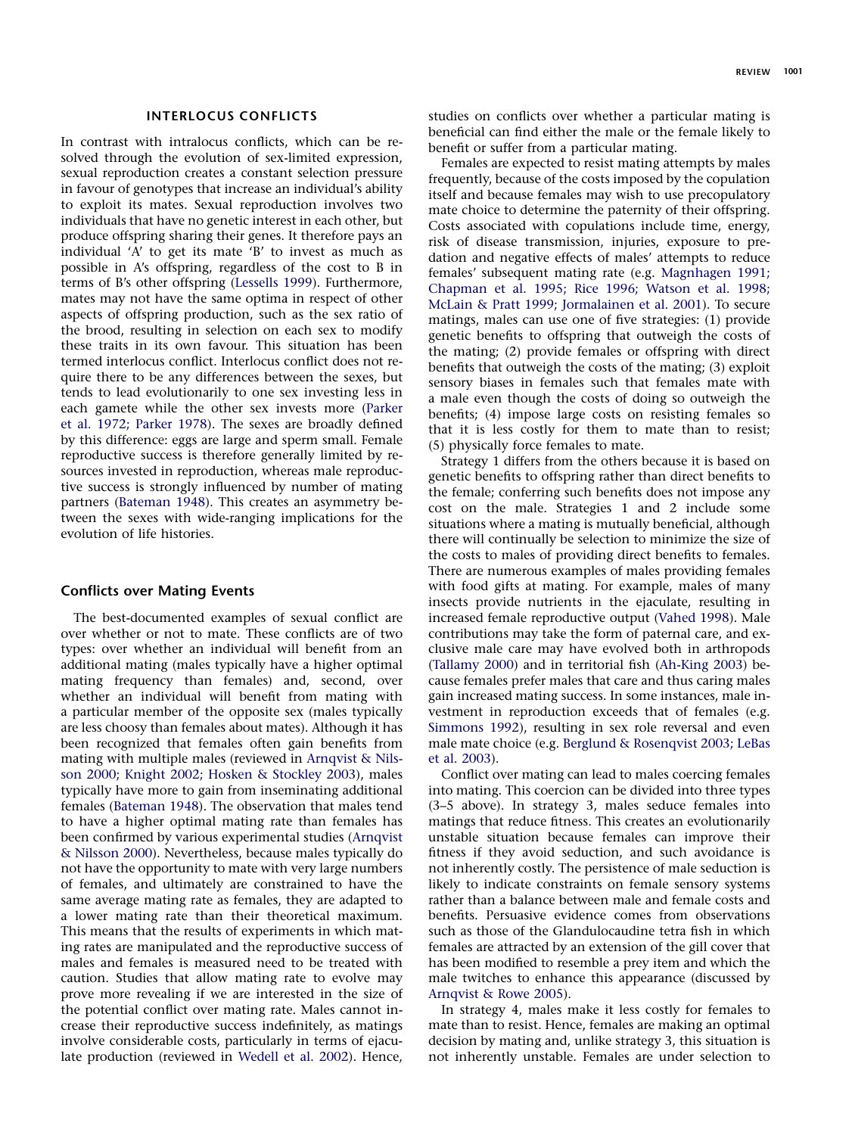#### INTERLOCUS CONFLICTS

In contrast with intralocus conflicts, which can be resolved through the evolution of sex-limited expression, sexual reproduction creates a constant selection pressure in favour of genotypes that increase an individual's ability to exploit its mates. Sexual reproduction involves two individuals that have no genetic interest in each other, but produce offspring sharing their genes. It therefore pays an individual 'A' to get its mate 'B' to invest as much as possible in A's offspring, regardless of the cost to B in terms of B's other offspring [\(Lessells 1999](#page-10-0)). Furthermore, mates may not have the same optima in respect of other aspects of offspring production, such as the sex ratio of the brood, resulting in selection on each sex to modify these traits in its own favour. This situation has been termed interlocus conflict. Interlocus conflict does not require there to be any differences between the sexes, but tends to lead evolutionarily to one sex investing less in each gamete while the other sex invests more [\(Parker](#page-10-0) [et al. 1972; Parker 1978\)](#page-10-0). The sexes are broadly defined by this difference: eggs are large and sperm small. Female reproductive success is therefore generally limited by resources invested in reproduction, whereas male reproductive success is strongly influenced by number of mating partners [\(Bateman 1948\)](#page-9-0). This creates an asymmetry between the sexes with wide-ranging implications for the evolution of life histories.

### Conflicts over Mating Events

The best-documented examples of sexual conflict are over whether or not to mate. These conflicts are of two types: over whether an individual will benefit from an additional mating (males typically have a higher optimal mating frequency than females) and, second, over whether an individual will benefit from mating with a particular member of the opposite sex (males typically are less choosy than females about mates). Although it has been recognized that females often gain benefits from mating with multiple males (reviewed in [Arnqvist & Nils](#page-8-0)[son 2000; Knight 2002; Hosken & Stockley 2003\)](#page-8-0), males typically have more to gain from inseminating additional females [\(Bateman 1948](#page-9-0)). The observation that males tend to have a higher optimal mating rate than females has been confirmed by various experimental studies [\(Arnqvist](#page-8-0) [& Nilsson 2000\)](#page-8-0). Nevertheless, because males typically do not have the opportunity to mate with very large numbers of females, and ultimately are constrained to have the same average mating rate as females, they are adapted to a lower mating rate than their theoretical maximum. This means that the results of experiments in which mating rates are manipulated and the reproductive success of males and females is measured need to be treated with caution. Studies that allow mating rate to evolve may prove more revealing if we are interested in the size of the potential conflict over mating rate. Males cannot increase their reproductive success indefinitely, as matings involve considerable costs, particularly in terms of ejaculate production (reviewed in [Wedell et al. 2002\)](#page-12-0). Hence,

studies on conflicts over whether a particular mating is beneficial can find either the male or the female likely to benefit or suffer from a particular mating.

Females are expected to resist mating attempts by males frequently, because of the costs imposed by the copulation itself and because females may wish to use precopulatory mate choice to determine the paternity of their offspring. Costs associated with copulations include time, energy, risk of disease transmission, injuries, exposure to predation and negative effects of males' attempts to reduce females' subsequent mating rate (e.g. [Magnhagen 1991;](#page-10-0) [Chapman et al. 1995; Rice 1996; Watson et al. 1998;](#page-10-0) [McLain & Pratt 1999; Jormalainen et al. 2001](#page-10-0)). To secure matings, males can use one of five strategies: (1) provide genetic benefits to offspring that outweigh the costs of the mating; (2) provide females or offspring with direct benefits that outweigh the costs of the mating; (3) exploit sensory biases in females such that females mate with a male even though the costs of doing so outweigh the benefits; (4) impose large costs on resisting females so that it is less costly for them to mate than to resist; (5) physically force females to mate.

Strategy 1 differs from the others because it is based on genetic benefits to offspring rather than direct benefits to the female; conferring such benefits does not impose any cost on the male. Strategies 1 and 2 include some situations where a mating is mutually beneficial, although there will continually be selection to minimize the size of the costs to males of providing direct benefits to females. There are numerous examples of males providing females with food gifts at mating. For example, males of many insects provide nutrients in the ejaculate, resulting in increased female reproductive output [\(Vahed 1998\)](#page-11-0). Male contributions may take the form of paternal care, and exclusive male care may have evolved both in arthropods ([Tallamy 2000](#page-11-0)) and in territorial fish [\(Ah-King 2003\)](#page-8-0) because females prefer males that care and thus caring males gain increased mating success. In some instances, male investment in reproduction exceeds that of females (e.g. [Simmons 1992](#page-11-0)), resulting in sex role reversal and even male mate choice (e.g. [Berglund & Rosenqvist 2003; LeBas](#page-9-0) [et al. 2003](#page-9-0)).

Conflict over mating can lead to males coercing females into mating. This coercion can be divided into three types (3–5 above). In strategy 3, males seduce females into matings that reduce fitness. This creates an evolutionarily unstable situation because females can improve their fitness if they avoid seduction, and such avoidance is not inherently costly. The persistence of male seduction is likely to indicate constraints on female sensory systems rather than a balance between male and female costs and benefits. Persuasive evidence comes from observations such as those of the Glandulocaudine tetra fish in which females are attracted by an extension of the gill cover that has been modified to resemble a prey item and which the male twitches to enhance this appearance (discussed by [Arnqvist & Rowe 2005\)](#page-9-0).

In strategy 4, males make it less costly for females to mate than to resist. Hence, females are making an optimal decision by mating and, unlike strategy 3, this situation is not inherently unstable. Females are under selection to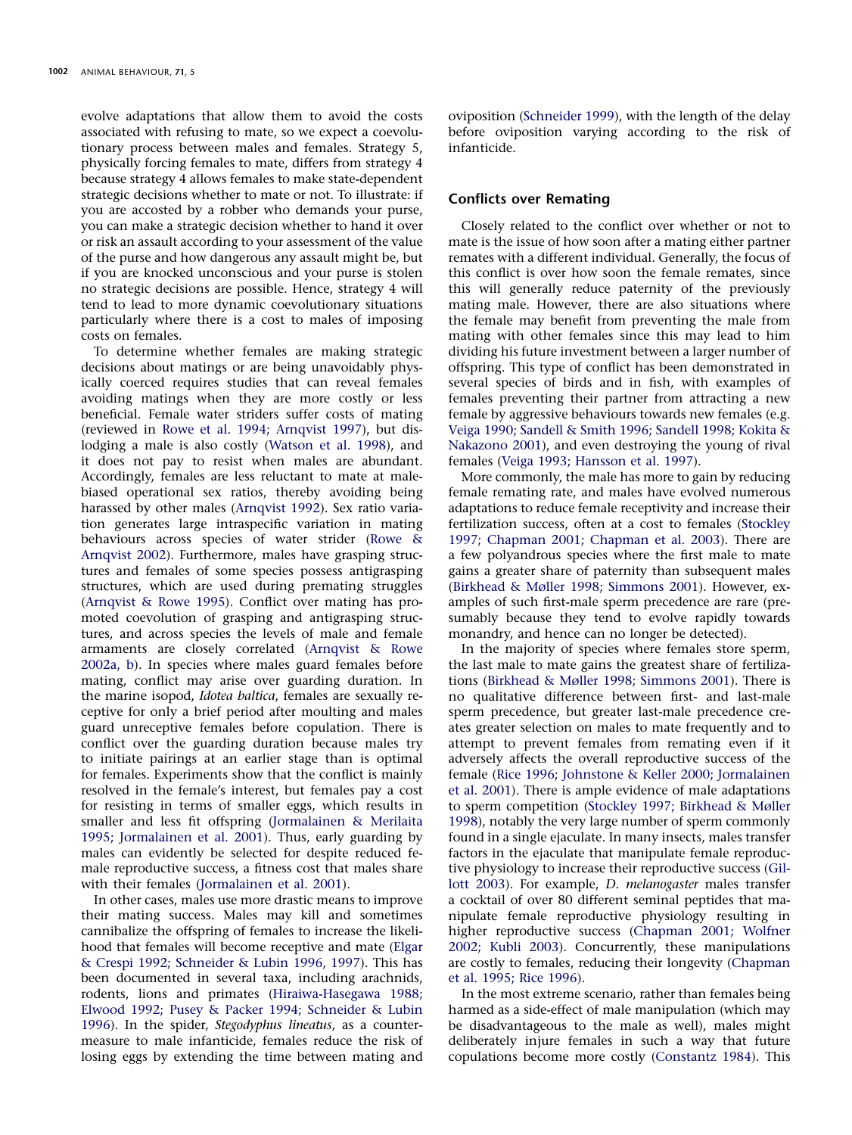evolve adaptations that allow them to avoid the costs associated with refusing to mate, so we expect a coevolutionary process between males and females. Strategy 5, physically forcing females to mate, differs from strategy 4 because strategy 4 allows females to make state-dependent strategic decisions whether to mate or not. To illustrate: if you are accosted by a robber who demands your purse, you can make a strategic decision whether to hand it over or risk an assault according to your assessment of the value of the purse and how dangerous any assault might be, but if you are knocked unconscious and your purse is stolen no strategic decisions are possible. Hence, strategy 4 will tend to lead to more dynamic coevolutionary situations particularly where there is a cost to males of imposing costs on females.

To determine whether females are making strategic decisions about matings or are being unavoidably physically coerced requires studies that can reveal females avoiding matings when they are more costly or less beneficial. Female water striders suffer costs of mating (reviewed in [Rowe et al. 1994; Arnqvist 1997](#page-11-0)), but dislodging a male is also costly ([Watson et al. 1998](#page-12-0)), and it does not pay to resist when males are abundant. Accordingly, females are less reluctant to mate at malebiased operational sex ratios, thereby avoiding being harassed by other males ([Arnqvist 1992\)](#page-8-0). Sex ratio variation generates large intraspecific variation in mating behaviours across species of water strider ([Rowe &](#page-11-0) [Arnqvist 2002](#page-11-0)). Furthermore, males have grasping structures and females of some species possess antigrasping structures, which are used during premating struggles ([Arnqvist & Rowe 1995\)](#page-8-0). Conflict over mating has promoted coevolution of grasping and antigrasping structures, and across species the levels of male and female armaments are closely correlated [\(Arnqvist & Rowe](#page-8-0) [2002a, b\)](#page-8-0). In species where males guard females before mating, conflict may arise over guarding duration. In the marine isopod, Idotea baltica, females are sexually receptive for only a brief period after moulting and males guard unreceptive females before copulation. There is conflict over the guarding duration because males try to initiate pairings at an earlier stage than is optimal for females. Experiments show that the conflict is mainly resolved in the female's interest, but females pay a cost for resisting in terms of smaller eggs, which results in smaller and less fit offspring ([Jormalainen & Merilaita](#page-10-0) [1995; Jormalainen et al. 2001](#page-10-0)). Thus, early guarding by males can evidently be selected for despite reduced female reproductive success, a fitness cost that males share with their females [\(Jormalainen et al. 2001](#page-10-0)).

In other cases, males use more drastic means to improve their mating success. Males may kill and sometimes cannibalize the offspring of females to increase the likelihood that females will become receptive and mate [\(Elgar](#page-9-0) [& Crespi 1992; Schneider & Lubin 1996, 1997\)](#page-9-0). This has been documented in several taxa, including arachnids, rodents, lions and primates ([Hiraiwa-Hasegawa 1988;](#page-9-0) [Elwood 1992; Pusey & Packer 1994; Schneider & Lubin](#page-9-0) [1996](#page-9-0)). In the spider, Stegodyphus lineatus, as a countermeasure to male infanticide, females reduce the risk of losing eggs by extending the time between mating and

oviposition [\(Schneider 1999\)](#page-11-0), with the length of the delay before oviposition varying according to the risk of infanticide.

## Conflicts over Remating

Closely related to the conflict over whether or not to mate is the issue of how soon after a mating either partner remates with a different individual. Generally, the focus of this conflict is over how soon the female remates, since this will generally reduce paternity of the previously mating male. However, there are also situations where the female may benefit from preventing the male from mating with other females since this may lead to him dividing his future investment between a larger number of offspring. This type of conflict has been demonstrated in several species of birds and in fish, with examples of females preventing their partner from attracting a new female by aggressive behaviours towards new females (e.g. [Veiga 1990; Sandell & Smith 1996; Sandell 1998; Kokita &](#page-12-0) [Nakazono 2001\)](#page-12-0), and even destroying the young of rival females ([Veiga 1993; Hansson et al. 1997\)](#page-12-0).

More commonly, the male has more to gain by reducing female remating rate, and males have evolved numerous adaptations to reduce female receptivity and increase their fertilization success, often at a cost to females ([Stockley](#page-11-0) [1997; Chapman 2001; Chapman et al. 2003\)](#page-11-0). There are a few polyandrous species where the first male to mate gains a greater share of paternity than subsequent males ([Birkhead & Møller 1998; Simmons 2001\)](#page-9-0). However, examples of such first-male sperm precedence are rare (presumably because they tend to evolve rapidly towards monandry, and hence can no longer be detected).

In the majority of species where females store sperm, the last male to mate gains the greatest share of fertilizations ([Birkhead & Møller 1998; Simmons 2001\)](#page-9-0). There is no qualitative difference between first- and last-male sperm precedence, but greater last-male precedence creates greater selection on males to mate frequently and to attempt to prevent females from remating even if it adversely affects the overall reproductive success of the female [\(Rice 1996; Johnstone & Keller 2000; Jormalainen](#page-11-0) [et al. 2001\)](#page-11-0). There is ample evidence of male adaptations to sperm competition [\(Stockley 1997; Birkhead & Møller](#page-11-0) [1998](#page-11-0)), notably the very large number of sperm commonly found in a single ejaculate. In many insects, males transfer factors in the ejaculate that manipulate female reproductive physiology to increase their reproductive success [\(Gil](#page-9-0)[lott 2003](#page-9-0)). For example, *D. melanogaster* males transfer a cocktail of over 80 different seminal peptides that manipulate female reproductive physiology resulting in higher reproductive success [\(Chapman 2001; Wolfner](#page-9-0) [2002; Kubli 2003\)](#page-9-0). Concurrently, these manipulations are costly to females, reducing their longevity ([Chapman](#page-9-0) [et al. 1995; Rice 1996\)](#page-9-0).

In the most extreme scenario, rather than females being harmed as a side-effect of male manipulation (which may be disadvantageous to the male as well), males might deliberately injure females in such a way that future copulations become more costly [\(Constantz 1984](#page-9-0)). This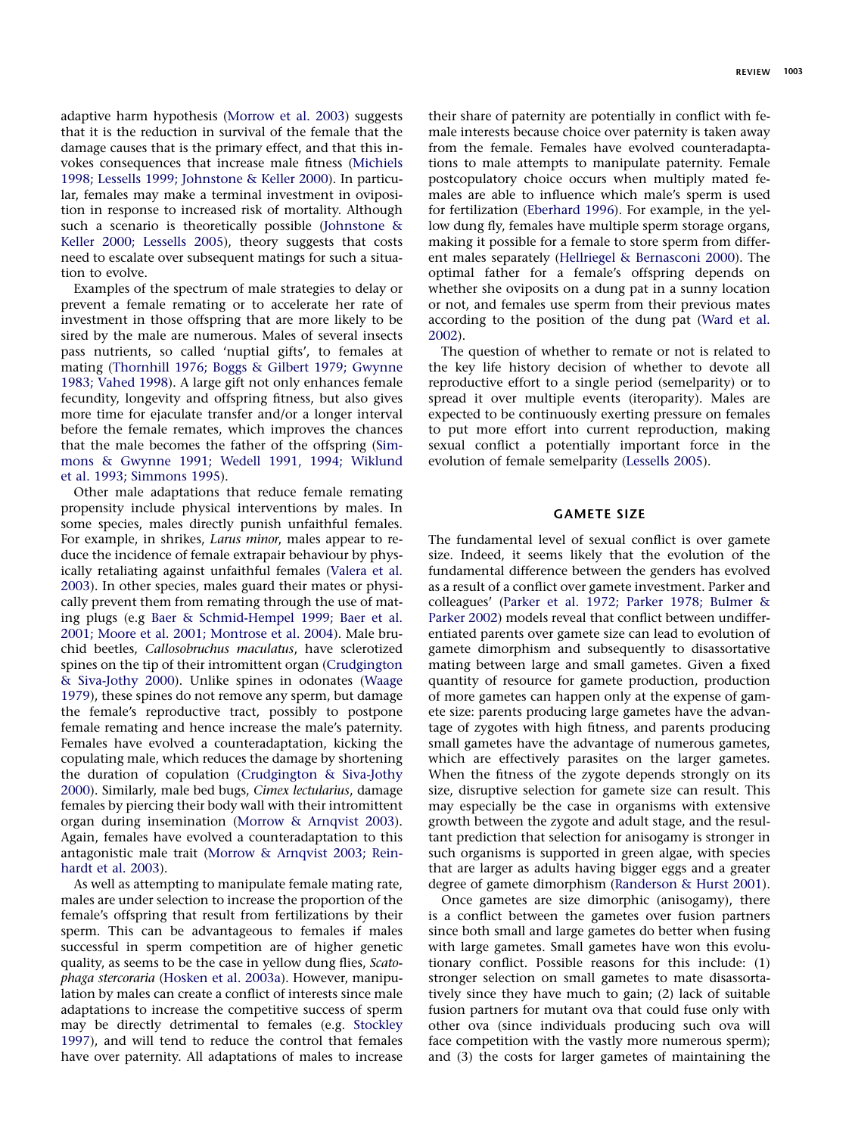adaptive harm hypothesis [\(Morrow et al. 2003](#page-10-0)) suggests that it is the reduction in survival of the female that the damage causes that is the primary effect, and that this invokes consequences that increase male fitness ([Michiels](#page-10-0) [1998; Lessells 1999; Johnstone & Keller 2000\)](#page-10-0). In particular, females may make a terminal investment in oviposition in response to increased risk of mortality. Although such a scenario is theoretically possible [\(Johnstone &](#page-10-0) [Keller 2000; Lessells 2005](#page-10-0)), theory suggests that costs need to escalate over subsequent matings for such a situation to evolve.

Examples of the spectrum of male strategies to delay or prevent a female remating or to accelerate her rate of investment in those offspring that are more likely to be sired by the male are numerous. Males of several insects pass nutrients, so called 'nuptial gifts', to females at mating ([Thornhill 1976; Boggs & Gilbert 1979; Gwynne](#page-11-0) [1983; Vahed 1998\)](#page-11-0). A large gift not only enhances female fecundity, longevity and offspring fitness, but also gives more time for ejaculate transfer and/or a longer interval before the female remates, which improves the chances that the male becomes the father of the offspring [\(Sim](#page-11-0)[mons & Gwynne 1991; Wedell 1991, 1994; Wiklund](#page-11-0) [et al. 1993; Simmons 1995](#page-11-0)).

Other male adaptations that reduce female remating propensity include physical interventions by males. In some species, males directly punish unfaithful females. For example, in shrikes, Larus minor, males appear to reduce the incidence of female extrapair behaviour by physically retaliating against unfaithful females [\(Valera et al.](#page-12-0) [2003](#page-12-0)). In other species, males guard their mates or physically prevent them from remating through the use of mating plugs (e.g [Baer & Schmid-Hempel 1999; Baer et al.](#page-9-0) [2001; Moore et al. 2001; Montrose et al. 2004](#page-9-0)). Male bruchid beetles, Callosobruchus maculatus, have sclerotized spines on the tip of their intromittent organ [\(Crudgington](#page-9-0) [& Siva-Jothy 2000](#page-9-0)). Unlike spines in odonates ([Waage](#page-12-0) [1979](#page-12-0)), these spines do not remove any sperm, but damage the female's reproductive tract, possibly to postpone female remating and hence increase the male's paternity. Females have evolved a counteradaptation, kicking the copulating male, which reduces the damage by shortening the duration of copulation ([Crudgington & Siva-Jothy](#page-9-0) [2000](#page-9-0)). Similarly, male bed bugs, Cimex lectularius, damage females by piercing their body wall with their intromittent organ during insemination ([Morrow & Arnqvist 2003\)](#page-10-0). Again, females have evolved a counteradaptation to this antagonistic male trait [\(Morrow & Arnqvist 2003; Rein](#page-10-0)[hardt et al. 2003\)](#page-10-0).

As well as attempting to manipulate female mating rate, males are under selection to increase the proportion of the female's offspring that result from fertilizations by their sperm. This can be advantageous to females if males successful in sperm competition are of higher genetic quality, as seems to be the case in yellow dung flies, Scatophaga stercoraria [\(Hosken et al. 2003a](#page-9-0)). However, manipulation by males can create a conflict of interests since male adaptations to increase the competitive success of sperm may be directly detrimental to females (e.g. [Stockley](#page-11-0) [1997](#page-11-0)), and will tend to reduce the control that females have over paternity. All adaptations of males to increase

their share of paternity are potentially in conflict with female interests because choice over paternity is taken away from the female. Females have evolved counteradaptations to male attempts to manipulate paternity. Female postcopulatory choice occurs when multiply mated females are able to influence which male's sperm is used for fertilization ([Eberhard 1996\)](#page-9-0). For example, in the yellow dung fly, females have multiple sperm storage organs, making it possible for a female to store sperm from different males separately [\(Hellriegel & Bernasconi 2000\)](#page-9-0). The optimal father for a female's offspring depends on whether she oviposits on a dung pat in a sunny location or not, and females use sperm from their previous mates according to the position of the dung pat ([Ward et al.](#page-12-0) [2002](#page-12-0)).

The question of whether to remate or not is related to the key life history decision of whether to devote all reproductive effort to a single period (semelparity) or to spread it over multiple events (iteroparity). Males are expected to be continuously exerting pressure on females to put more effort into current reproduction, making sexual conflict a potentially important force in the evolution of female semelparity ([Lessells 2005\)](#page-10-0).

## GAMETE SIZE

The fundamental level of sexual conflict is over gamete size. Indeed, it seems likely that the evolution of the fundamental difference between the genders has evolved as a result of a conflict over gamete investment. Parker and colleagues' [\(Parker et al. 1972; Parker 1978; Bulmer &](#page-10-0) [Parker 2002](#page-10-0)) models reveal that conflict between undifferentiated parents over gamete size can lead to evolution of gamete dimorphism and subsequently to disassortative mating between large and small gametes. Given a fixed quantity of resource for gamete production, production of more gametes can happen only at the expense of gamete size: parents producing large gametes have the advantage of zygotes with high fitness, and parents producing small gametes have the advantage of numerous gametes, which are effectively parasites on the larger gametes. When the fitness of the zygote depends strongly on its size, disruptive selection for gamete size can result. This may especially be the case in organisms with extensive growth between the zygote and adult stage, and the resultant prediction that selection for anisogamy is stronger in such organisms is supported in green algae, with species that are larger as adults having bigger eggs and a greater degree of gamete dimorphism ([Randerson & Hurst 2001](#page-11-0)).

Once gametes are size dimorphic (anisogamy), there is a conflict between the gametes over fusion partners since both small and large gametes do better when fusing with large gametes. Small gametes have won this evolutionary conflict. Possible reasons for this include: (1) stronger selection on small gametes to mate disassortatively since they have much to gain; (2) lack of suitable fusion partners for mutant ova that could fuse only with other ova (since individuals producing such ova will face competition with the vastly more numerous sperm); and (3) the costs for larger gametes of maintaining the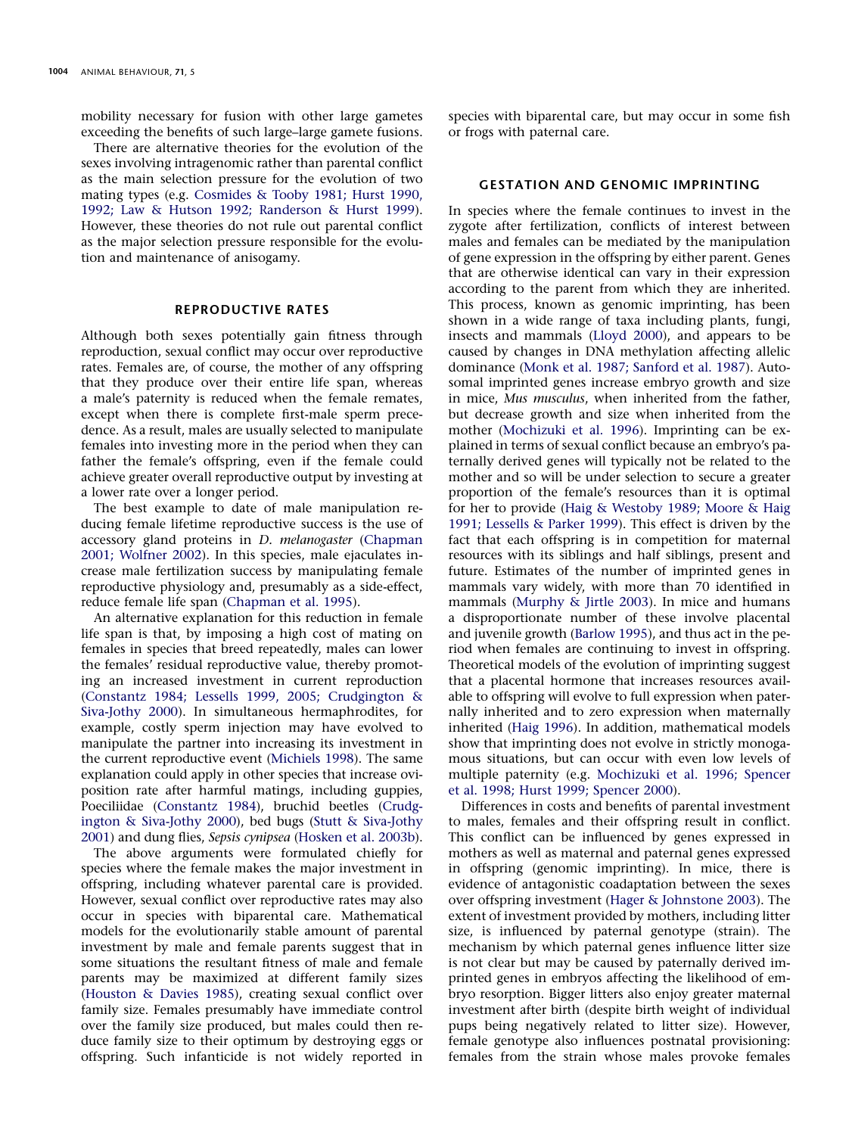mobility necessary for fusion with other large gametes exceeding the benefits of such large–large gamete fusions.

There are alternative theories for the evolution of the sexes involving intragenomic rather than parental conflict as the main selection pressure for the evolution of two mating types (e.g. [Cosmides & Tooby 1981; Hurst 1990,](#page-9-0) [1992; Law & Hutson 1992; Randerson & Hurst 1999](#page-9-0)). However, these theories do not rule out parental conflict as the major selection pressure responsible for the evolution and maintenance of anisogamy.

#### REPRODUCTIVE RATES

Although both sexes potentially gain fitness through reproduction, sexual conflict may occur over reproductive rates. Females are, of course, the mother of any offspring that they produce over their entire life span, whereas a male's paternity is reduced when the female remates, except when there is complete first-male sperm precedence. As a result, males are usually selected to manipulate females into investing more in the period when they can father the female's offspring, even if the female could achieve greater overall reproductive output by investing at a lower rate over a longer period.

The best example to date of male manipulation reducing female lifetime reproductive success is the use of accessory gland proteins in D. melanogaster ([Chapman](#page-9-0) [2001; Wolfner 2002](#page-9-0)). In this species, male ejaculates increase male fertilization success by manipulating female reproductive physiology and, presumably as a side-effect, reduce female life span ([Chapman et al. 1995\)](#page-9-0).

An alternative explanation for this reduction in female life span is that, by imposing a high cost of mating on females in species that breed repeatedly, males can lower the females' residual reproductive value, thereby promoting an increased investment in current reproduction ([Constantz 1984; Lessells 1999, 2005; Crudgington &](#page-9-0) [Siva-Jothy 2000](#page-9-0)). In simultaneous hermaphrodites, for example, costly sperm injection may have evolved to manipulate the partner into increasing its investment in the current reproductive event ([Michiels 1998\)](#page-10-0). The same explanation could apply in other species that increase oviposition rate after harmful matings, including guppies, Poeciliidae ([Constantz 1984](#page-9-0)), bruchid beetles ([Crudg](#page-9-0)[ington & Siva-Jothy 2000](#page-9-0)), bed bugs [\(Stutt & Siva-Jothy](#page-11-0) [2001\)](#page-11-0) and dung flies, Sepsis cynipsea ([Hosken et al. 2003b](#page-9-0)).

The above arguments were formulated chiefly for species where the female makes the major investment in offspring, including whatever parental care is provided. However, sexual conflict over reproductive rates may also occur in species with biparental care. Mathematical models for the evolutionarily stable amount of parental investment by male and female parents suggest that in some situations the resultant fitness of male and female parents may be maximized at different family sizes ([Houston & Davies 1985](#page-10-0)), creating sexual conflict over family size. Females presumably have immediate control over the family size produced, but males could then reduce family size to their optimum by destroying eggs or offspring. Such infanticide is not widely reported in

species with biparental care, but may occur in some fish or frogs with paternal care.

### GESTATION AND GENOMIC IMPRINTING

In species where the female continues to invest in the zygote after fertilization, conflicts of interest between males and females can be mediated by the manipulation of gene expression in the offspring by either parent. Genes that are otherwise identical can vary in their expression according to the parent from which they are inherited. This process, known as genomic imprinting, has been shown in a wide range of taxa including plants, fungi, insects and mammals ([Lloyd 2000](#page-10-0)), and appears to be caused by changes in DNA methylation affecting allelic dominance [\(Monk et al. 1987; Sanford et al. 1987](#page-10-0)). Autosomal imprinted genes increase embryo growth and size in mice, Mus musculus, when inherited from the father, but decrease growth and size when inherited from the mother ([Mochizuki et al. 1996](#page-10-0)). Imprinting can be explained in terms of sexual conflict because an embryo's paternally derived genes will typically not be related to the mother and so will be under selection to secure a greater proportion of the female's resources than it is optimal for her to provide [\(Haig & Westoby 1989; Moore & Haig](#page-9-0) [1991; Lessells & Parker 1999](#page-9-0)). This effect is driven by the fact that each offspring is in competition for maternal resources with its siblings and half siblings, present and future. Estimates of the number of imprinted genes in mammals vary widely, with more than 70 identified in mammals [\(Murphy & Jirtle 2003\)](#page-10-0). In mice and humans a disproportionate number of these involve placental and juvenile growth ([Barlow 1995](#page-9-0)), and thus act in the period when females are continuing to invest in offspring. Theoretical models of the evolution of imprinting suggest that a placental hormone that increases resources available to offspring will evolve to full expression when paternally inherited and to zero expression when maternally inherited ([Haig 1996\)](#page-9-0). In addition, mathematical models show that imprinting does not evolve in strictly monogamous situations, but can occur with even low levels of multiple paternity (e.g. [Mochizuki et al. 1996; Spencer](#page-10-0) [et al. 1998; Hurst 1999; Spencer 2000\)](#page-10-0).

Differences in costs and benefits of parental investment to males, females and their offspring result in conflict. This conflict can be influenced by genes expressed in mothers as well as maternal and paternal genes expressed in offspring (genomic imprinting). In mice, there is evidence of antagonistic coadaptation between the sexes over offspring investment ([Hager & Johnstone 2003\)](#page-9-0). The extent of investment provided by mothers, including litter size, is influenced by paternal genotype (strain). The mechanism by which paternal genes influence litter size is not clear but may be caused by paternally derived imprinted genes in embryos affecting the likelihood of embryo resorption. Bigger litters also enjoy greater maternal investment after birth (despite birth weight of individual pups being negatively related to litter size). However, female genotype also influences postnatal provisioning: females from the strain whose males provoke females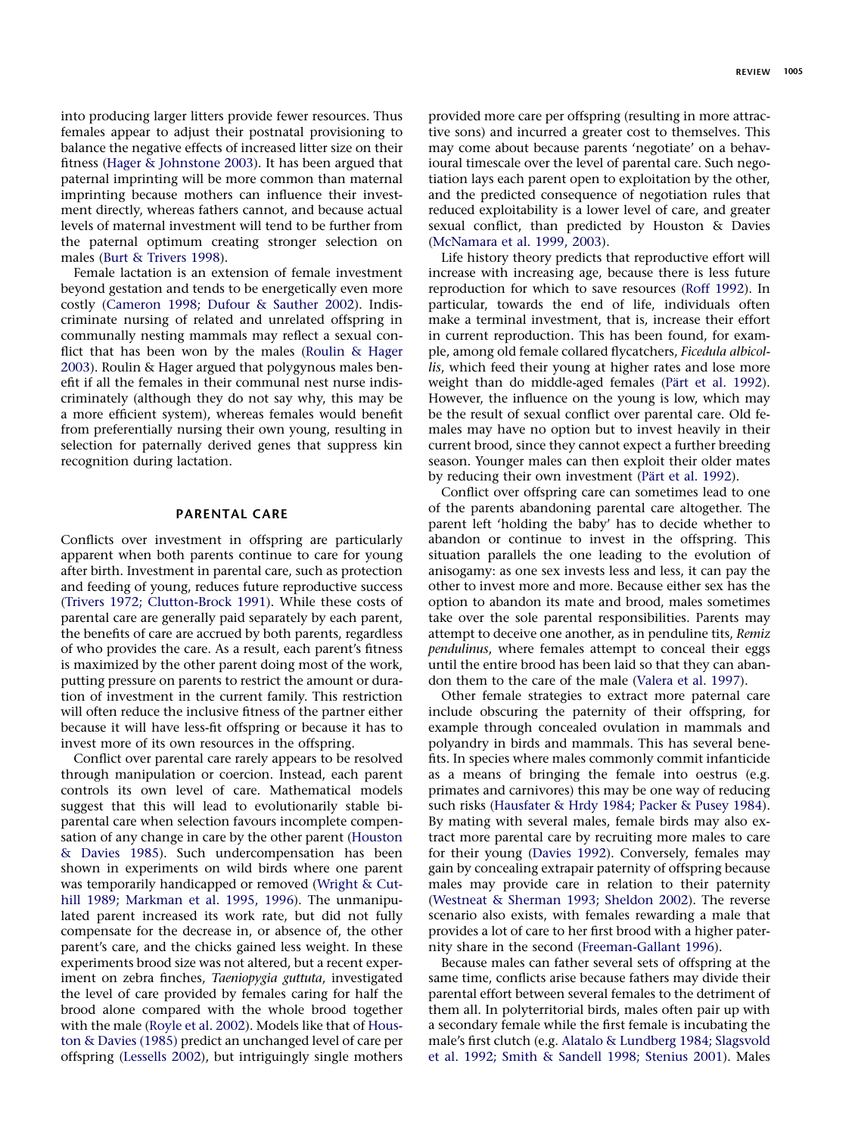into producing larger litters provide fewer resources. Thus females appear to adjust their postnatal provisioning to balance the negative effects of increased litter size on their fitness ([Hager & Johnstone 2003](#page-9-0)). It has been argued that paternal imprinting will be more common than maternal imprinting because mothers can influence their investment directly, whereas fathers cannot, and because actual levels of maternal investment will tend to be further from the paternal optimum creating stronger selection on males [\(Burt & Trivers 1998\)](#page-9-0).

Female lactation is an extension of female investment beyond gestation and tends to be energetically even more costly [\(Cameron 1998; Dufour & Sauther 2002\)](#page-9-0). Indiscriminate nursing of related and unrelated offspring in communally nesting mammals may reflect a sexual conflict that has been won by the males ([Roulin & Hager](#page-11-0) [2003](#page-11-0)). Roulin & Hager argued that polygynous males benefit if all the females in their communal nest nurse indiscriminately (although they do not say why, this may be a more efficient system), whereas females would benefit from preferentially nursing their own young, resulting in selection for paternally derived genes that suppress kin recognition during lactation.

## PARENTAL CARE

Conflicts over investment in offspring are particularly apparent when both parents continue to care for young after birth. Investment in parental care, such as protection and feeding of young, reduces future reproductive success ([Trivers 1972; Clutton-Brock 1991](#page-11-0)). While these costs of parental care are generally paid separately by each parent, the benefits of care are accrued by both parents, regardless of who provides the care. As a result, each parent's fitness is maximized by the other parent doing most of the work, putting pressure on parents to restrict the amount or duration of investment in the current family. This restriction will often reduce the inclusive fitness of the partner either because it will have less-fit offspring or because it has to invest more of its own resources in the offspring.

Conflict over parental care rarely appears to be resolved through manipulation or coercion. Instead, each parent controls its own level of care. Mathematical models suggest that this will lead to evolutionarily stable biparental care when selection favours incomplete compensation of any change in care by the other parent ([Houston](#page-10-0) [& Davies 1985](#page-10-0)). Such undercompensation has been shown in experiments on wild birds where one parent was temporarily handicapped or removed ([Wright & Cut](#page-12-0)[hill 1989; Markman et al. 1995, 1996\)](#page-12-0). The unmanipulated parent increased its work rate, but did not fully compensate for the decrease in, or absence of, the other parent's care, and the chicks gained less weight. In these experiments brood size was not altered, but a recent experiment on zebra finches, Taeniopygia guttuta, investigated the level of care provided by females caring for half the brood alone compared with the whole brood together with the male [\(Royle et al. 2002](#page-11-0)). Models like that of [Hous](#page-10-0)[ton & Davies \(1985\)](#page-10-0) predict an unchanged level of care per offspring [\(Lessells 2002\)](#page-10-0), but intriguingly single mothers

provided more care per offspring (resulting in more attractive sons) and incurred a greater cost to themselves. This may come about because parents 'negotiate' on a behavioural timescale over the level of parental care. Such negotiation lays each parent open to exploitation by the other, and the predicted consequence of negotiation rules that reduced exploitability is a lower level of care, and greater sexual conflict, than predicted by Houston & Davies ([McNamara et al. 1999, 2003\)](#page-10-0).

Life history theory predicts that reproductive effort will increase with increasing age, because there is less future reproduction for which to save resources [\(Roff 1992](#page-11-0)). In particular, towards the end of life, individuals often make a terminal investment, that is, increase their effort in current reproduction. This has been found, for example, among old female collared flycatchers, Ficedula albicollis, which feed their young at higher rates and lose more weight than do middle-aged females (Pärt et al. 1992). However, the influence on the young is low, which may be the result of sexual conflict over parental care. Old females may have no option but to invest heavily in their current brood, since they cannot expect a further breeding season. Younger males can then exploit their older mates by reducing their own investment (Pärt et al. 1992).

Conflict over offspring care can sometimes lead to one of the parents abandoning parental care altogether. The parent left 'holding the baby' has to decide whether to abandon or continue to invest in the offspring. This situation parallels the one leading to the evolution of anisogamy: as one sex invests less and less, it can pay the other to invest more and more. Because either sex has the option to abandon its mate and brood, males sometimes take over the sole parental responsibilities. Parents may attempt to deceive one another, as in penduline tits, Remiz pendulinus, where females attempt to conceal their eggs until the entire brood has been laid so that they can abandon them to the care of the male [\(Valera et al. 1997\)](#page-12-0).

Other female strategies to extract more paternal care include obscuring the paternity of their offspring, for example through concealed ovulation in mammals and polyandry in birds and mammals. This has several benefits. In species where males commonly commit infanticide as a means of bringing the female into oestrus (e.g. primates and carnivores) this may be one way of reducing such risks ([Hausfater & Hrdy 1984; Packer & Pusey 1984](#page-9-0)). By mating with several males, female birds may also extract more parental care by recruiting more males to care for their young [\(Davies 1992](#page-9-0)). Conversely, females may gain by concealing extrapair paternity of offspring because males may provide care in relation to their paternity ([Westneat & Sherman 1993; Sheldon 2002](#page-12-0)). The reverse scenario also exists, with females rewarding a male that provides a lot of care to her first brood with a higher paternity share in the second [\(Freeman-Gallant 1996\)](#page-9-0).

Because males can father several sets of offspring at the same time, conflicts arise because fathers may divide their parental effort between several females to the detriment of them all. In polyterritorial birds, males often pair up with a secondary female while the first female is incubating the male's first clutch (e.g. [Alatalo & Lundberg 1984; Slagsvold](#page-8-0) [et al. 1992; Smith & Sandell 1998; Stenius 2001](#page-8-0)). Males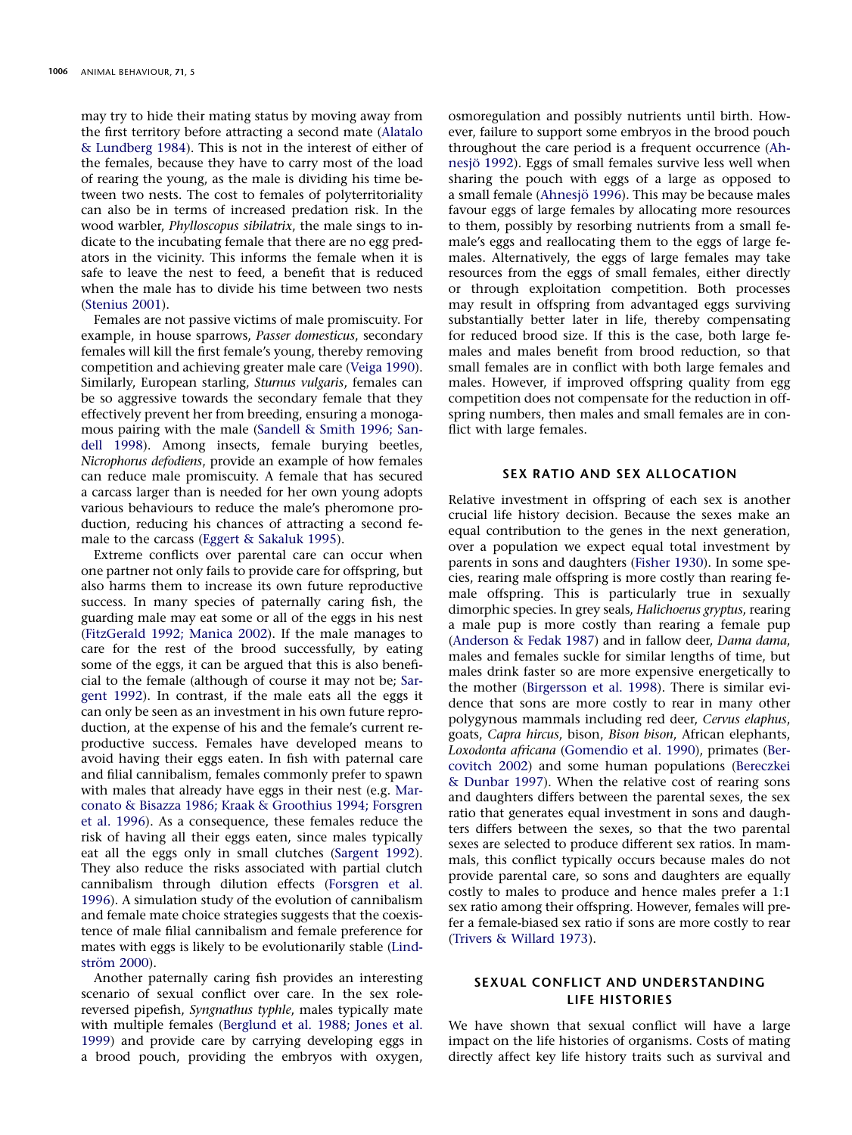may try to hide their mating status by moving away from the first territory before attracting a second mate ([Alatalo](#page-8-0) [& Lundberg 1984](#page-8-0)). This is not in the interest of either of the females, because they have to carry most of the load of rearing the young, as the male is dividing his time between two nests. The cost to females of polyterritoriality can also be in terms of increased predation risk. In the wood warbler, Phylloscopus sibilatrix, the male sings to indicate to the incubating female that there are no egg predators in the vicinity. This informs the female when it is safe to leave the nest to feed, a benefit that is reduced when the male has to divide his time between two nests ([Stenius 2001](#page-11-0)).

Females are not passive victims of male promiscuity. For example, in house sparrows, Passer domesticus, secondary females will kill the first female's young, thereby removing competition and achieving greater male care ([Veiga 1990](#page-12-0)). Similarly, European starling, Sturnus vulgaris, females can be so aggressive towards the secondary female that they effectively prevent her from breeding, ensuring a monogamous pairing with the male [\(Sandell & Smith 1996; San](#page-11-0)[dell 1998](#page-11-0)). Among insects, female burying beetles, Nicrophorus defodiens, provide an example of how females can reduce male promiscuity. A female that has secured a carcass larger than is needed for her own young adopts various behaviours to reduce the male's pheromone production, reducing his chances of attracting a second female to the carcass ([Eggert & Sakaluk 1995\)](#page-9-0).

Extreme conflicts over parental care can occur when one partner not only fails to provide care for offspring, but also harms them to increase its own future reproductive success. In many species of paternally caring fish, the guarding male may eat some or all of the eggs in his nest ([FitzGerald 1992; Manica 2002](#page-9-0)). If the male manages to care for the rest of the brood successfully, by eating some of the eggs, it can be argued that this is also beneficial to the female (although of course it may not be; [Sar](#page-11-0)[gent 1992\)](#page-11-0). In contrast, if the male eats all the eggs it can only be seen as an investment in his own future reproduction, at the expense of his and the female's current reproductive success. Females have developed means to avoid having their eggs eaten. In fish with paternal care and filial cannibalism, females commonly prefer to spawn with males that already have eggs in their nest (e.g. [Mar](#page-10-0)[conato & Bisazza 1986; Kraak & Groothius 1994; Forsgren](#page-10-0) [et al. 1996\)](#page-10-0). As a consequence, these females reduce the risk of having all their eggs eaten, since males typically eat all the eggs only in small clutches [\(Sargent 1992](#page-11-0)). They also reduce the risks associated with partial clutch cannibalism through dilution effects ([Forsgren et al.](#page-9-0) [1996](#page-9-0)). A simulation study of the evolution of cannibalism and female mate choice strategies suggests that the coexistence of male filial cannibalism and female preference for mates with eggs is likely to be evolutionarily stable ([Lind](#page-10-0)ström 2000).

Another paternally caring fish provides an interesting scenario of sexual conflict over care. In the sex rolereversed pipefish, Syngnathus typhle, males typically mate with multiple females ([Berglund et al. 1988; Jones et al.](#page-9-0) [1999](#page-9-0)) and provide care by carrying developing eggs in a brood pouch, providing the embryos with oxygen,

osmoregulation and possibly nutrients until birth. However, failure to support some embryos in the brood pouch throughout the care period is a frequent occurrence ([Ah](#page-8-0)nesjö 1992). Eggs of small females survive less well when sharing the pouch with eggs of a large as opposed to a small female ([Ahnesjo¨](#page-8-0) 1996). This may be because males favour eggs of large females by allocating more resources to them, possibly by resorbing nutrients from a small female's eggs and reallocating them to the eggs of large females. Alternatively, the eggs of large females may take resources from the eggs of small females, either directly or through exploitation competition. Both processes may result in offspring from advantaged eggs surviving substantially better later in life, thereby compensating for reduced brood size. If this is the case, both large females and males benefit from brood reduction, so that small females are in conflict with both large females and males. However, if improved offspring quality from egg competition does not compensate for the reduction in offspring numbers, then males and small females are in conflict with large females.

## SEX RATIO AND SEX ALLOCATION

Relative investment in offspring of each sex is another crucial life history decision. Because the sexes make an equal contribution to the genes in the next generation, over a population we expect equal total investment by parents in sons and daughters [\(Fisher 1930\)](#page-9-0). In some species, rearing male offspring is more costly than rearing female offspring. This is particularly true in sexually dimorphic species. In grey seals, Halichoerus gryptus, rearing a male pup is more costly than rearing a female pup ([Anderson & Fedak 1987\)](#page-8-0) and in fallow deer, Dama dama, males and females suckle for similar lengths of time, but males drink faster so are more expensive energetically to the mother [\(Birgersson et al. 1998\)](#page-9-0). There is similar evidence that sons are more costly to rear in many other polygynous mammals including red deer, Cervus elaphus, goats, Capra hircus, bison, Bison bison, African elephants, Loxodonta africana ([Gomendio et al. 1990](#page-9-0)), primates ([Ber](#page-9-0)[covitch 2002](#page-9-0)) and some human populations ([Bereczkei](#page-9-0) [& Dunbar 1997](#page-9-0)). When the relative cost of rearing sons and daughters differs between the parental sexes, the sex ratio that generates equal investment in sons and daughters differs between the sexes, so that the two parental sexes are selected to produce different sex ratios. In mammals, this conflict typically occurs because males do not provide parental care, so sons and daughters are equally costly to males to produce and hence males prefer a 1:1 sex ratio among their offspring. However, females will prefer a female-biased sex ratio if sons are more costly to rear ([Trivers & Willard 1973](#page-11-0)).

## SEXUAL CONFLICT AND UNDERSTANDING LIFE HISTORIES

We have shown that sexual conflict will have a large impact on the life histories of organisms. Costs of mating directly affect key life history traits such as survival and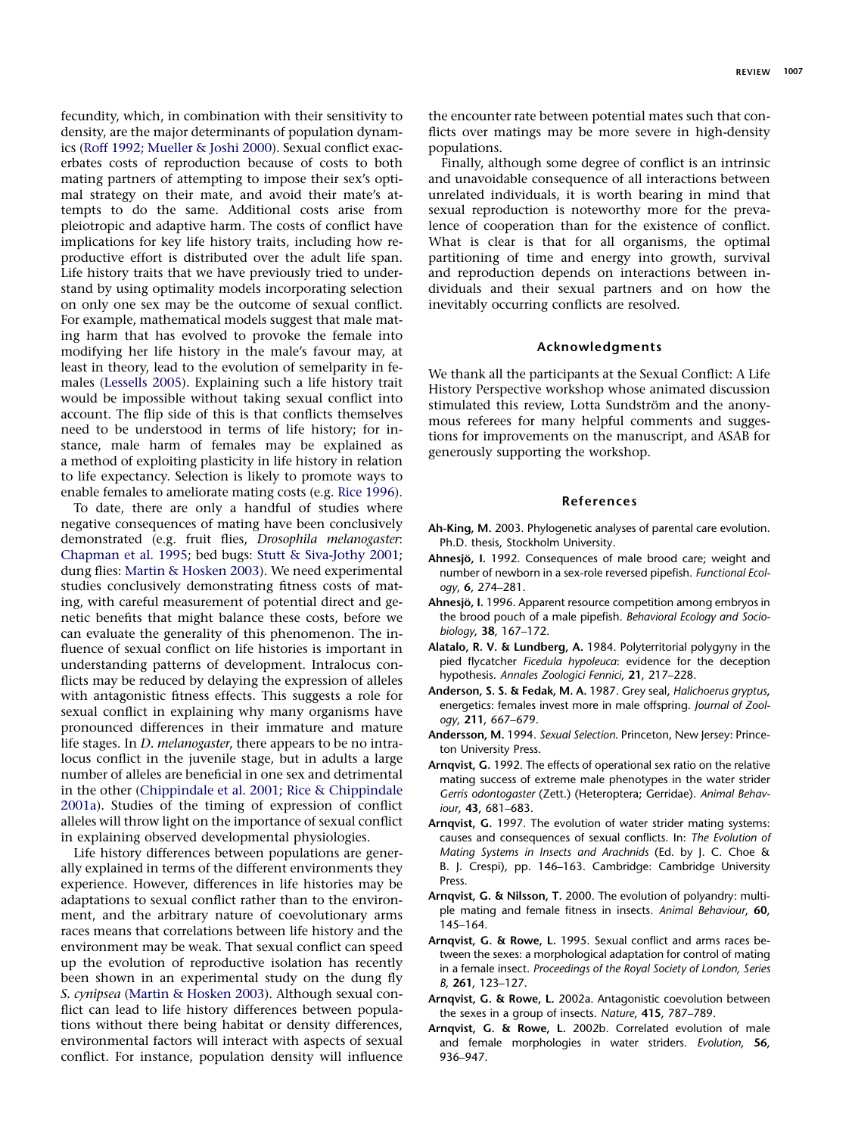<span id="page-8-0"></span>fecundity, which, in combination with their sensitivity to density, are the major determinants of population dynamics ([Roff 1992; Mueller & Joshi 2000](#page-11-0)). Sexual conflict exacerbates costs of reproduction because of costs to both mating partners of attempting to impose their sex's optimal strategy on their mate, and avoid their mate's attempts to do the same. Additional costs arise from pleiotropic and adaptive harm. The costs of conflict have implications for key life history traits, including how reproductive effort is distributed over the adult life span. Life history traits that we have previously tried to understand by using optimality models incorporating selection on only one sex may be the outcome of sexual conflict. For example, mathematical models suggest that male mating harm that has evolved to provoke the female into modifying her life history in the male's favour may, at least in theory, lead to the evolution of semelparity in females ([Lessells 2005](#page-10-0)). Explaining such a life history trait would be impossible without taking sexual conflict into account. The flip side of this is that conflicts themselves need to be understood in terms of life history; for instance, male harm of females may be explained as a method of exploiting plasticity in life history in relation to life expectancy. Selection is likely to promote ways to enable females to ameliorate mating costs (e.g. [Rice 1996](#page-11-0)).

To date, there are only a handful of studies where negative consequences of mating have been conclusively demonstrated (e.g. fruit flies, Drosophila melanogaster: [Chapman et al. 1995](#page-9-0); bed bugs: [Stutt & Siva-Jothy 2001](#page-11-0); dung flies: [Martin & Hosken 2003](#page-10-0)). We need experimental studies conclusively demonstrating fitness costs of mating, with careful measurement of potential direct and genetic benefits that might balance these costs, before we can evaluate the generality of this phenomenon. The influence of sexual conflict on life histories is important in understanding patterns of development. Intralocus conflicts may be reduced by delaying the expression of alleles with antagonistic fitness effects. This suggests a role for sexual conflict in explaining why many organisms have pronounced differences in their immature and mature life stages. In *D. melanogaster*, there appears to be no intralocus conflict in the juvenile stage, but in adults a large number of alleles are beneficial in one sex and detrimental in the other ([Chippindale et al. 2001; Rice & Chippindale](#page-9-0) [2001a\)](#page-9-0). Studies of the timing of expression of conflict alleles will throw light on the importance of sexual conflict in explaining observed developmental physiologies.

Life history differences between populations are generally explained in terms of the different environments they experience. However, differences in life histories may be adaptations to sexual conflict rather than to the environment, and the arbitrary nature of coevolutionary arms races means that correlations between life history and the environment may be weak. That sexual conflict can speed up the evolution of reproductive isolation has recently been shown in an experimental study on the dung fly S. cynipsea [\(Martin & Hosken 2003\)](#page-10-0). Although sexual conflict can lead to life history differences between populations without there being habitat or density differences, environmental factors will interact with aspects of sexual conflict. For instance, population density will influence

the encounter rate between potential mates such that conflicts over matings may be more severe in high-density populations.

Finally, although some degree of conflict is an intrinsic and unavoidable consequence of all interactions between unrelated individuals, it is worth bearing in mind that sexual reproduction is noteworthy more for the prevalence of cooperation than for the existence of conflict. What is clear is that for all organisms, the optimal partitioning of time and energy into growth, survival and reproduction depends on interactions between individuals and their sexual partners and on how the inevitably occurring conflicts are resolved.

#### Acknowledgments

We thank all the participants at the Sexual Conflict: A Life History Perspective workshop whose animated discussion stimulated this review, Lotta Sundström and the anonymous referees for many helpful comments and suggestions for improvements on the manuscript, and ASAB for generously supporting the workshop.

#### References

- Ah-King, M. 2003. Phylogenetic analyses of parental care evolution. Ph.D. thesis, Stockholm University.
- Ahnesjö, I. 1992. Consequences of male brood care; weight and number of newborn in a sex-role reversed pipefish. Functional Ecology, 6, 274–281.
- Ahnesjö, I. 1996. Apparent resource competition among embryos in the brood pouch of a male pipefish. Behavioral Ecology and Sociobiology, 38, 167–172.
- Alatalo, R. V. & Lundberg, A. 1984. Polyterritorial polygyny in the pied flycatcher Ficedula hypoleuca: evidence for the deception hypothesis. Annales Zoologici Fennici, 21, 217–228.
- Anderson, S. S. & Fedak, M. A. 1987. Grey seal, Halichoerus gryptus, energetics: females invest more in male offspring. Journal of Zoology, 211, 667–679.
- Andersson, M. 1994. Sexual Selection. Princeton, New Jersey: Princeton University Press.
- Arnqvist, G. 1992. The effects of operational sex ratio on the relative mating success of extreme male phenotypes in the water strider Gerris odontogaster (Zett.) (Heteroptera; Gerridae). Animal Behaviour, 43, 681–683.
- Arnqvist, G. 1997. The evolution of water strider mating systems: causes and consequences of sexual conflicts. In: The Evolution of Mating Systems in Insects and Arachnids (Ed. by J. C. Choe & B. J. Crespi), pp. 146–163. Cambridge: Cambridge University Press.
- Arnqvist, G. & Nilsson, T. 2000. The evolution of polyandry: multiple mating and female fitness in insects. Animal Behaviour, 60, 145–164.
- Arnqvist, G. & Rowe, L. 1995. Sexual conflict and arms races between the sexes: a morphological adaptation for control of mating in a female insect. Proceedings of the Royal Society of London, Series B, 261, 123–127.
- Arnqvist, G. & Rowe, L. 2002a. Antagonistic coevolution between the sexes in a group of insects. Nature, 415, 787–789.
- Arnqvist, G. & Rowe, L. 2002b. Correlated evolution of male and female morphologies in water striders. Evolution, 56, 936–947.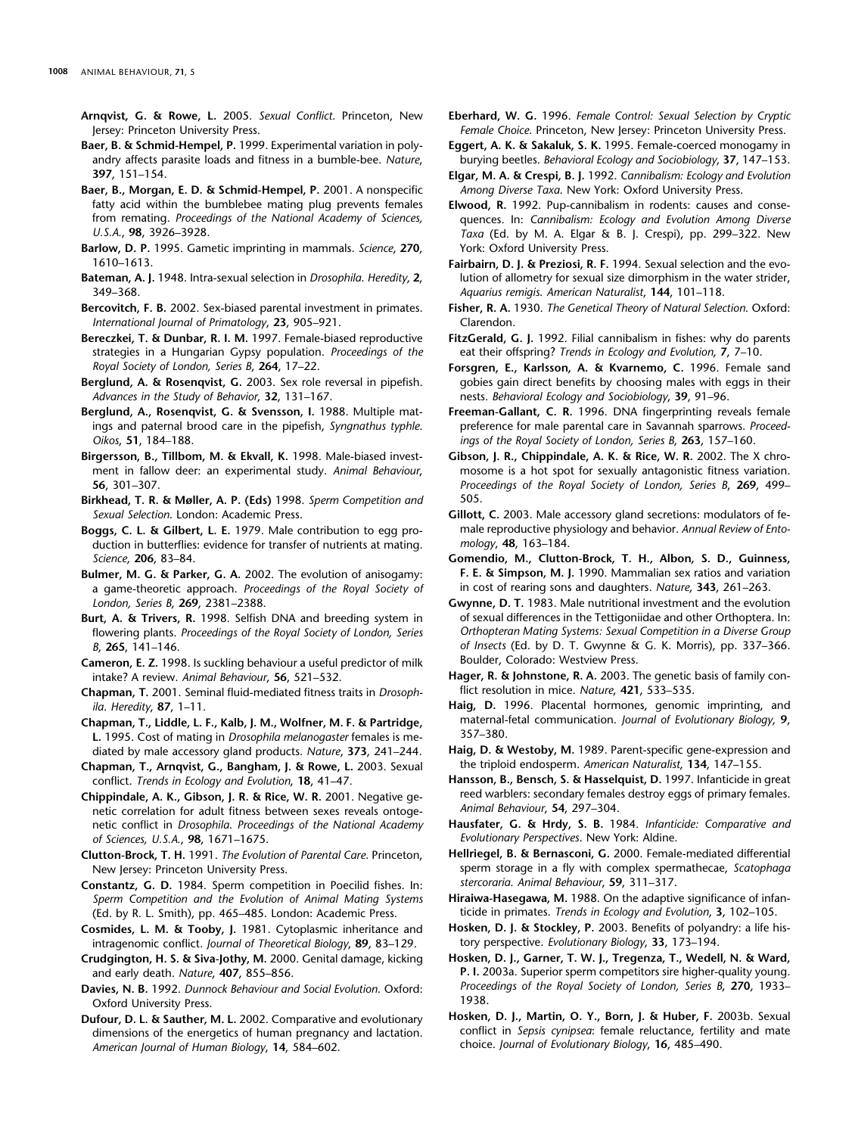- <span id="page-9-0"></span>Arnqvist, G. & Rowe, L. 2005. Sexual Conflict. Princeton, New Jersey: Princeton University Press.
- Baer, B. & Schmid-Hempel, P. 1999. Experimental variation in polyandry affects parasite loads and fitness in a bumble-bee. Nature, 397, 151–154.
- Baer, B., Morgan, E. D. & Schmid-Hempel, P. 2001. A nonspecific fatty acid within the bumblebee mating plug prevents females from remating. Proceedings of the National Academy of Sciences, U.S.A., 98, 3926–3928.
- Barlow, D. P. 1995. Gametic imprinting in mammals. Science, 270, 1610–1613.
- Bateman, A. J. 1948. Intra-sexual selection in Drosophila. Heredity, 2, 349–368.
- Bercovitch, F. B. 2002. Sex-biased parental investment in primates. International Journal of Primatology, 23, 905–921.
- Bereczkei, T. & Dunbar, R. I. M. 1997. Female-biased reproductive strategies in a Hungarian Gypsy population. Proceedings of the Royal Society of London, Series B, 264, 17–22.
- Berglund, A. & Rosenqvist, G. 2003. Sex role reversal in pipefish. Advances in the Study of Behavior, 32, 131–167.
- Berglund, A., Rosenqvist, G. & Svensson, I. 1988. Multiple matings and paternal brood care in the pipefish, Syngnathus typhle. Oikos, 51, 184–188.
- Birgersson, B., Tillbom, M. & Ekvall, K. 1998. Male-biased investment in fallow deer: an experimental study. Animal Behaviour, 56, 301–307.
- Birkhead, T. R. & Møller, A. P. (Eds) 1998. Sperm Competition and Sexual Selection. London: Academic Press.
- Boggs, C. L. & Gilbert, L. E. 1979. Male contribution to egg production in butterflies: evidence for transfer of nutrients at mating. Science, 206, 83–84.
- Bulmer, M. G. & Parker, G. A. 2002. The evolution of anisogamy: a game-theoretic approach. Proceedings of the Royal Society of London, Series B, 269, 2381–2388.
- Burt, A. & Trivers, R. 1998. Selfish DNA and breeding system in flowering plants. Proceedings of the Royal Society of London, Series B, 265, 141–146.
- Cameron, E. Z. 1998. Is suckling behaviour a useful predictor of milk intake? A review. Animal Behaviour, 56, 521–532.
- Chapman, T. 2001. Seminal fluid-mediated fitness traits in Drosophila. Heredity, 87, 1–11.
- Chapman, T., Liddle, L. F., Kalb, J. M., Wolfner, M. F. & Partridge, L. 1995. Cost of mating in Drosophila melanogaster females is mediated by male accessory gland products. Nature, 373, 241–244.
- Chapman, T., Arnqvist, G., Bangham, J. & Rowe, L. 2003. Sexual conflict. Trends in Ecology and Evolution, 18, 41–47.
- Chippindale, A. K., Gibson, J. R. & Rice, W. R. 2001. Negative genetic correlation for adult fitness between sexes reveals ontogenetic conflict in Drosophila. Proceedings of the National Academy of Sciences, U.S.A., 98, 1671–1675.
- Clutton-Brock, T. H. 1991. The Evolution of Parental Care. Princeton, New Jersey: Princeton University Press.
- Constantz, G. D. 1984. Sperm competition in Poecilid fishes. In: Sperm Competition and the Evolution of Animal Mating Systems (Ed. by R. L. Smith), pp. 465–485. London: Academic Press.
- Cosmides, L. M. & Tooby, J. 1981. Cytoplasmic inheritance and intragenomic conflict. Journal of Theoretical Biology, 89, 83–129.
- Crudgington, H. S. & Siva-Jothy, M. 2000. Genital damage, kicking and early death. Nature, 407, 855–856.
- Davies, N. B. 1992. Dunnock Behaviour and Social Evolution. Oxford: Oxford University Press.
- Dufour, D. L. & Sauther, M. L. 2002. Comparative and evolutionary dimensions of the energetics of human pregnancy and lactation. American Journal of Human Biology, 14, 584–602.
- Eberhard, W. G. 1996. Female Control: Sexual Selection by Cryptic Female Choice. Princeton, New Jersey: Princeton University Press.
- Eggert, A. K. & Sakaluk, S. K. 1995. Female-coerced monogamy in burying beetles. Behavioral Ecology and Sociobiology, 37, 147–153.
- Elgar, M. A. & Crespi, B. J. 1992. Cannibalism: Ecology and Evolution Among Diverse Taxa. New York: Oxford University Press.
- Elwood, R. 1992. Pup-cannibalism in rodents: causes and consequences. In: Cannibalism: Ecology and Evolution Among Diverse Taxa (Ed. by M. A. Elgar & B. J. Crespi), pp. 299–322. New York: Oxford University Press.
- Fairbairn, D. J. & Preziosi, R. F. 1994. Sexual selection and the evolution of allometry for sexual size dimorphism in the water strider, Aquarius remigis. American Naturalist, 144, 101–118.
- Fisher, R. A. 1930. The Genetical Theory of Natural Selection. Oxford: Clarendon.
- FitzGerald, G. J. 1992. Filial cannibalism in fishes: why do parents eat their offspring? Trends in Ecology and Evolution, 7, 7–10.
- Forsgren, E., Karlsson, A. & Kvarnemo, C. 1996. Female sand gobies gain direct benefits by choosing males with eggs in their nests. Behavioral Ecology and Sociobiology, 39, 91–96.
- Freeman-Gallant, C. R. 1996. DNA fingerprinting reveals female preference for male parental care in Savannah sparrows. Proceedings of the Royal Society of London, Series B, 263, 157–160.
- Gibson, J. R., Chippindale, A. K. & Rice, W. R. 2002. The X chromosome is a hot spot for sexually antagonistic fitness variation. Proceedings of the Royal Society of London, Series B, 269, 499-505.
- Gillott, C. 2003. Male accessory gland secretions: modulators of female reproductive physiology and behavior. Annual Review of Entomology, 48, 163–184.
- Gomendio, M., Clutton-Brock, T. H., Albon, S. D., Guinness, F. E. & Simpson, M. J. 1990. Mammalian sex ratios and variation in cost of rearing sons and daughters. Nature, 343, 261–263.
- Gwynne, D. T. 1983. Male nutritional investment and the evolution of sexual differences in the Tettigoniidae and other Orthoptera. In: Orthopteran Mating Systems: Sexual Competition in a Diverse Group of Insects (Ed. by D. T. Gwynne & G. K. Morris), pp. 337–366. Boulder, Colorado: Westview Press.
- Hager, R. & Johnstone, R. A. 2003. The genetic basis of family conflict resolution in mice. Nature, 421, 533–535.
- Haig, D. 1996. Placental hormones, genomic imprinting, and maternal-fetal communication. Journal of Evolutionary Biology, 9, 357–380.
- Haig, D. & Westoby, M. 1989. Parent-specific gene-expression and the triploid endosperm. American Naturalist, 134, 147–155.
- Hansson, B., Bensch, S. & Hasselquist, D. 1997. Infanticide in great reed warblers: secondary females destroy eggs of primary females. Animal Behaviour, 54, 297–304.
- Hausfater, G. & Hrdy, S. B. 1984. Infanticide: Comparative and Evolutionary Perspectives. New York: Aldine.
- Hellriegel, B. & Bernasconi, G. 2000. Female-mediated differential sperm storage in a fly with complex spermathecae, Scatophaga stercoraria. Animal Behaviour, 59, 311–317.
- Hiraiwa-Hasegawa, M. 1988. On the adaptive significance of infanticide in primates. Trends in Ecology and Evolution, 3, 102–105.
- Hosken, D. J. & Stockley, P. 2003. Benefits of polyandry: a life history perspective. Evolutionary Biology, 33, 173–194.
- Hosken, D. J., Garner, T. W. J., Tregenza, T., Wedell, N. & Ward, P. I. 2003a. Superior sperm competitors sire higher-quality young. Proceedings of the Royal Society of London, Series B, 270, 1933-1938.
- Hosken, D. J., Martin, O. Y., Born, J. & Huber, F. 2003b. Sexual conflict in Sepsis cynipsea: female reluctance, fertility and mate choice. Journal of Evolutionary Biology, 16, 485–490.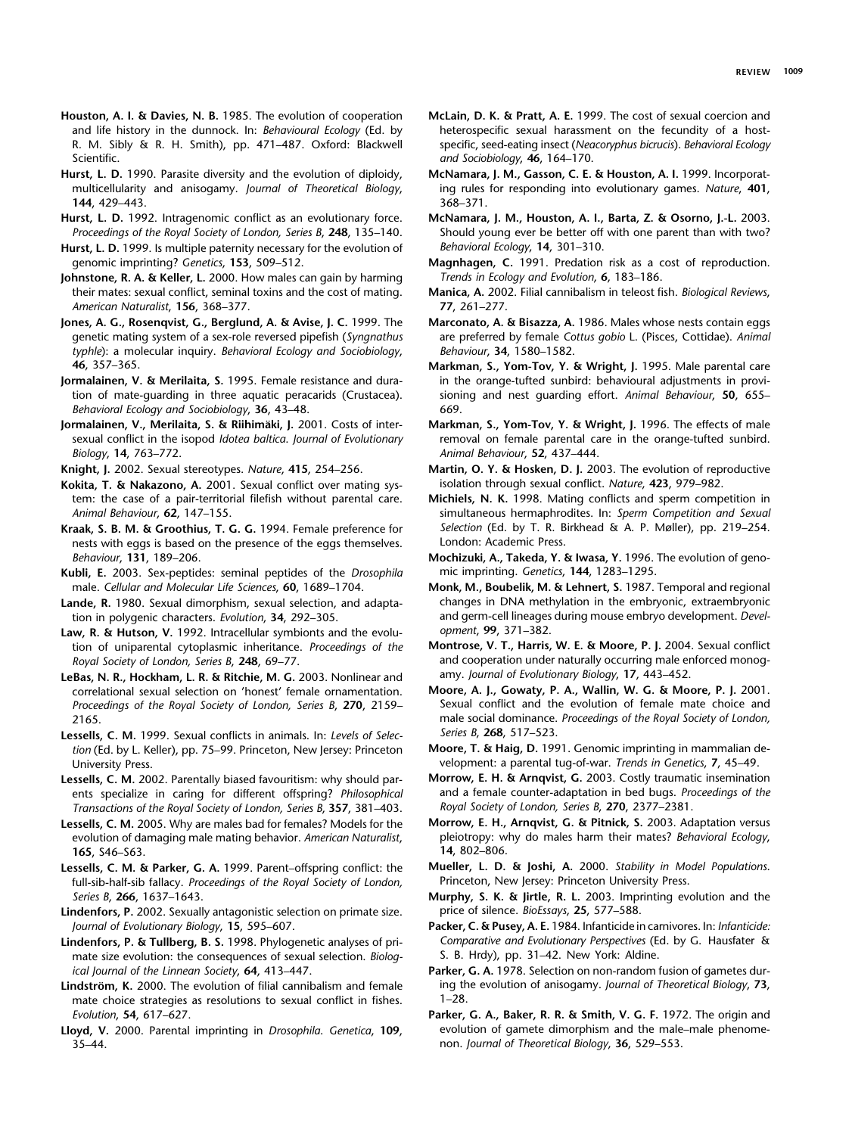- <span id="page-10-0"></span>Houston, A. I. & Davies, N. B. 1985. The evolution of cooperation and life history in the dunnock. In: Behavioural Ecology (Ed. by R. M. Sibly & R. H. Smith), pp. 471–487. Oxford: Blackwell Scientific.
- Hurst, L. D. 1990. Parasite diversity and the evolution of diploidy, multicellularity and anisogamy. Journal of Theoretical Biology, 144, 429–443.
- Hurst, L. D. 1992. Intragenomic conflict as an evolutionary force. Proceedings of the Royal Society of London, Series B, 248, 135-140.
- Hurst, L. D. 1999. Is multiple paternity necessary for the evolution of genomic imprinting? Genetics, 153, 509-512.
- Johnstone, R. A. & Keller, L. 2000. How males can gain by harming their mates: sexual conflict, seminal toxins and the cost of mating. American Naturalist, 156, 368–377.
- Jones, A. G., Rosenqvist, G., Berglund, A. & Avise, J. C. 1999. The genetic mating system of a sex-role reversed pipefish (Syngnathus typhle): a molecular inquiry. Behavioral Ecology and Sociobiology, 46, 357–365.
- Jormalainen, V. & Merilaita, S. 1995. Female resistance and duration of mate-guarding in three aquatic peracarids (Crustacea). Behavioral Ecology and Sociobiology, 36, 43–48.
- Jormalainen, V., Merilaita, S. & Riihimäki, J. 2001. Costs of intersexual conflict in the isopod Idotea baltica. Journal of Evolutionary Biology, 14, 763–772.
- Knight, J. 2002. Sexual stereotypes. Nature, 415, 254–256.
- Kokita, T. & Nakazono, A. 2001. Sexual conflict over mating system: the case of a pair-territorial filefish without parental care. Animal Behaviour, 62, 147–155.
- Kraak, S. B. M. & Groothius, T. G. G. 1994. Female preference for nests with eggs is based on the presence of the eggs themselves. Behaviour, 131, 189–206.
- Kubli, E. 2003. Sex-peptides: seminal peptides of the Drosophila male. Cellular and Molecular Life Sciences, 60, 1689–1704.
- Lande, R. 1980. Sexual dimorphism, sexual selection, and adaptation in polygenic characters. Evolution, 34, 292–305.
- Law, R. & Hutson, V. 1992. Intracellular symbionts and the evolution of uniparental cytoplasmic inheritance. Proceedings of the Royal Society of London, Series B, 248, 69–77.
- LeBas, N. R., Hockham, L. R. & Ritchie, M. G. 2003. Nonlinear and correlational sexual selection on 'honest' female ornamentation. Proceedings of the Royal Society of London, Series B, 270, 2159– 2165.
- Lessells, C. M. 1999. Sexual conflicts in animals. In: Levels of Selection (Ed. by L. Keller), pp. 75–99. Princeton, New Jersey: Princeton University Press.
- Lessells, C. M. 2002. Parentally biased favouritism: why should parents specialize in caring for different offspring? Philosophical Transactions of the Royal Society of London, Series B, 357, 381–403.
- Lessells, C. M. 2005. Why are males bad for females? Models for the evolution of damaging male mating behavior. American Naturalist, 165, S46–S63.
- Lessells, C. M. & Parker, G. A. 1999. Parent–offspring conflict: the full-sib-half-sib fallacy. Proceedings of the Royal Society of London, Series B, 266, 1637-1643.
- Lindenfors, P. 2002. Sexually antagonistic selection on primate size. Journal of Evolutionary Biology, 15, 595–607.
- Lindenfors, P. & Tullberg, B. S. 1998. Phylogenetic analyses of primate size evolution: the consequences of sexual selection. Biological Journal of the Linnean Society, 64, 413–447.
- Lindström, K. 2000. The evolution of filial cannibalism and female mate choice strategies as resolutions to sexual conflict in fishes. Evolution, 54, 617–627.
- Lloyd, V. 2000. Parental imprinting in Drosophila. Genetica, 109, 35–44.
- McLain, D. K. & Pratt, A. E. 1999. The cost of sexual coercion and heterospecific sexual harassment on the fecundity of a hostspecific, seed-eating insect (Neacoryphus bicrucis). Behavioral Ecology and Sociobiology, 46, 164–170.
- McNamara, J. M., Gasson, C. E. & Houston, A. I. 1999. Incorporating rules for responding into evolutionary games. Nature, 401, 368–371.
- McNamara, J. M., Houston, A. I., Barta, Z. & Osorno, J.-L. 2003. Should young ever be better off with one parent than with two? Behavioral Ecology, 14, 301–310.
- Magnhagen, C. 1991. Predation risk as a cost of reproduction. Trends in Ecology and Evolution, 6, 183–186.
- Manica, A. 2002. Filial cannibalism in teleost fish. Biological Reviews, 77, 261–277.
- Marconato, A. & Bisazza, A. 1986. Males whose nests contain eggs are preferred by female Cottus gobio L. (Pisces, Cottidae). Animal Behaviour, 34, 1580–1582.
- Markman, S., Yom-Tov, Y. & Wright, J. 1995. Male parental care in the orange-tufted sunbird: behavioural adjustments in provisioning and nest guarding effort. Animal Behaviour, 50, 655– 669.
- Markman, S., Yom-Tov, Y. & Wright, J. 1996. The effects of male removal on female parental care in the orange-tufted sunbird. Animal Behaviour, 52, 437–444.
- Martin, O. Y. & Hosken, D. J. 2003. The evolution of reproductive isolation through sexual conflict. Nature, 423, 979–982.
- Michiels, N. K. 1998. Mating conflicts and sperm competition in simultaneous hermaphrodites. In: Sperm Competition and Sexual Selection (Ed. by T. R. Birkhead & A. P. Møller), pp. 219–254. London: Academic Press.
- Mochizuki, A., Takeda, Y. & Iwasa, Y. 1996. The evolution of genomic imprinting. Genetics, 144, 1283–1295.
- Monk, M., Boubelik, M. & Lehnert, S. 1987. Temporal and regional changes in DNA methylation in the embryonic, extraembryonic and germ-cell lineages during mouse embryo development. Development, 99, 371–382.
- Montrose, V. T., Harris, W. E. & Moore, P. J. 2004. Sexual conflict and cooperation under naturally occurring male enforced monogamy. Journal of Evolutionary Biology, 17, 443–452.
- Moore, A. J., Gowaty, P. A., Wallin, W. G. & Moore, P. J. 2001. Sexual conflict and the evolution of female mate choice and male social dominance. Proceedings of the Royal Society of London, Series B, 268, 517–523.
- Moore, T. & Haig, D. 1991. Genomic imprinting in mammalian development: a parental tug-of-war. Trends in Genetics, 7, 45–49.
- Morrow, E. H. & Arnqvist, G. 2003. Costly traumatic insemination and a female counter-adaptation in bed bugs. Proceedings of the Royal Society of London, Series B, 270, 2377–2381.
- Morrow, E. H., Arnqvist, G. & Pitnick, S. 2003. Adaptation versus pleiotropy: why do males harm their mates? Behavioral Ecology, 14, 802–806.
- Mueller, L. D. & Joshi, A. 2000. Stability in Model Populations. Princeton, New Jersey: Princeton University Press.
- Murphy, S. K. & Jirtle, R. L. 2003. Imprinting evolution and the price of silence. BioEssays, 25, 577–588.
- Packer, C. & Pusey, A. E. 1984. Infanticide in carnivores. In: Infanticide: Comparative and Evolutionary Perspectives (Ed. by G. Hausfater & S. B. Hrdy), pp. 31–42. New York: Aldine.
- Parker, G. A. 1978. Selection on non-random fusion of gametes during the evolution of anisogamy. Journal of Theoretical Biology, 73, 1–28.
- Parker, G. A., Baker, R. R. & Smith, V. G. F. 1972. The origin and evolution of gamete dimorphism and the male–male phenomenon. Journal of Theoretical Biology, 36, 529–553.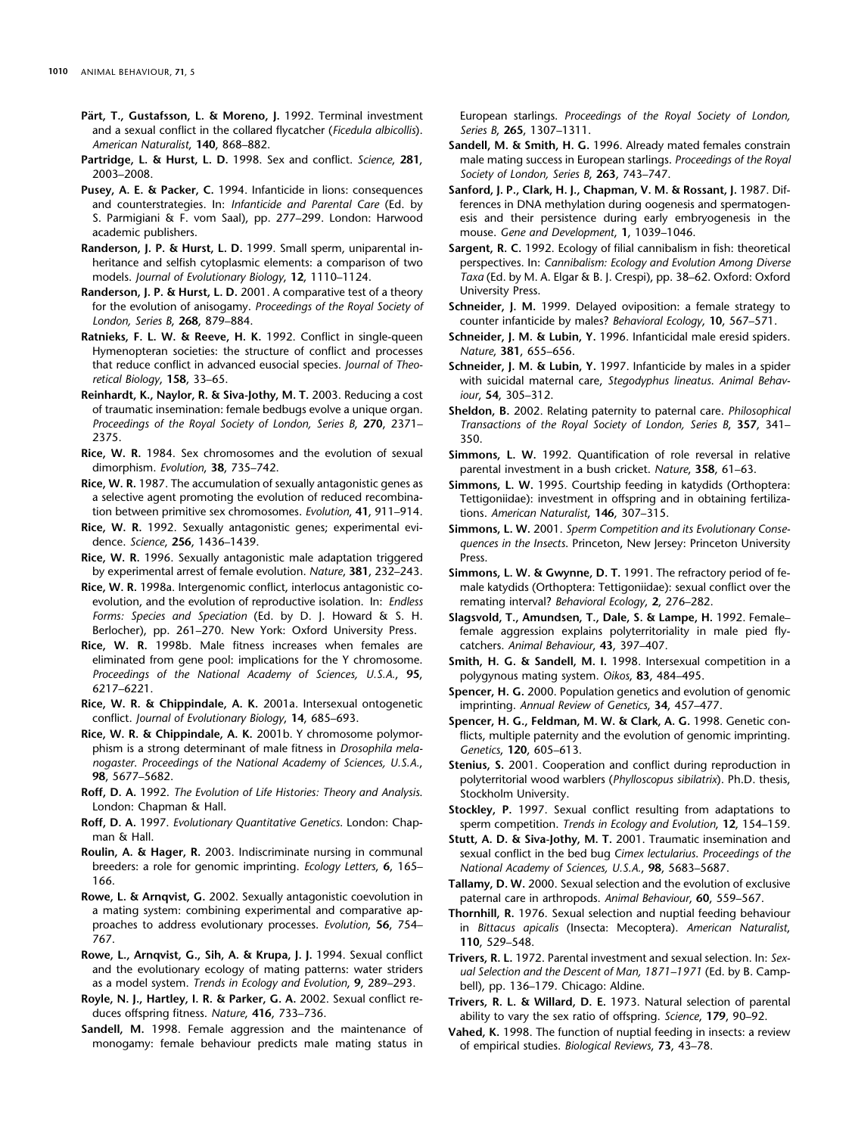- <span id="page-11-0"></span>Pärt, T., Gustafsson, L. & Moreno, J. 1992. Terminal investment and a sexual conflict in the collared flycatcher (Ficedula albicollis). American Naturalist, 140, 868–882.
- Partridge, L. & Hurst, L. D. 1998. Sex and conflict. Science, 281, 2003–2008.
- Pusey, A. E. & Packer, C. 1994. Infanticide in lions: consequences and counterstrategies. In: Infanticide and Parental Care (Ed. by S. Parmigiani & F. vom Saal), pp. 277–299. London: Harwood academic publishers.
- Randerson, J. P. & Hurst, L. D. 1999. Small sperm, uniparental inheritance and selfish cytoplasmic elements: a comparison of two models. Journal of Evolutionary Biology, 12, 1110–1124.
- Randerson, J. P. & Hurst, L. D. 2001. A comparative test of a theory for the evolution of anisogamy. Proceedings of the Royal Society of London, Series B, 268, 879–884.
- Ratnieks, F. L. W. & Reeve, H. K. 1992. Conflict in single-queen Hymenopteran societies: the structure of conflict and processes that reduce conflict in advanced eusocial species. Journal of Theoretical Biology, 158, 33–65.
- Reinhardt, K., Naylor, R. & Siva-Jothy, M. T. 2003. Reducing a cost of traumatic insemination: female bedbugs evolve a unique organ. Proceedings of the Royal Society of London, Series B, 270, 2371– 2375.
- Rice, W. R. 1984. Sex chromosomes and the evolution of sexual dimorphism. Evolution, 38, 735–742.
- Rice, W. R. 1987. The accumulation of sexually antagonistic genes as a selective agent promoting the evolution of reduced recombination between primitive sex chromosomes. Evolution, 41, 911–914.
- Rice, W. R. 1992. Sexually antagonistic genes; experimental evidence. Science, 256, 1436–1439.
- Rice, W. R. 1996. Sexually antagonistic male adaptation triggered by experimental arrest of female evolution. Nature, 381, 232–243.
- Rice, W. R. 1998a. Intergenomic conflict, interlocus antagonistic coevolution, and the evolution of reproductive isolation. In: Endless Forms: Species and Speciation (Ed. by D. J. Howard & S. H. Berlocher), pp. 261–270. New York: Oxford University Press.
- Rice, W. R. 1998b. Male fitness increases when females are eliminated from gene pool: implications for the Y chromosome. Proceedings of the National Academy of Sciences, U.S.A., 95, 6217–6221.
- Rice, W. R. & Chippindale, A. K. 2001a. Intersexual ontogenetic conflict. Journal of Evolutionary Biology, 14, 685–693.
- Rice, W. R. & Chippindale, A. K. 2001b. Y chromosome polymorphism is a strong determinant of male fitness in Drosophila melanogaster. Proceedings of the National Academy of Sciences, U.S.A., 98, 5677–5682.
- Roff, D. A. 1992. The Evolution of Life Histories: Theory and Analysis. London: Chapman & Hall.
- Roff, D. A. 1997. Evolutionary Quantitative Genetics. London: Chapman & Hall.
- Roulin, A. & Hager, R. 2003. Indiscriminate nursing in communal breeders: a role for genomic imprinting. Ecology Letters, 6, 165– 166.
- Rowe, L. & Arnqvist, G. 2002. Sexually antagonistic coevolution in a mating system: combining experimental and comparative approaches to address evolutionary processes. Evolution, 56, 754– 767.
- Rowe, L., Arnqvist, G., Sih, A. & Krupa, J. J. 1994. Sexual conflict and the evolutionary ecology of mating patterns: water striders as a model system. Trends in Ecology and Evolution, 9, 289–293.
- Royle, N. J., Hartley, I. R. & Parker, G. A. 2002. Sexual conflict reduces offspring fitness. Nature, 416, 733–736.
- Sandell, M. 1998. Female aggression and the maintenance of monogamy: female behaviour predicts male mating status in

European starlings. Proceedings of the Royal Society of London, Series B, 265, 1307-1311.

- Sandell, M. & Smith, H. G. 1996. Already mated females constrain male mating success in European starlings. Proceedings of the Royal Society of London, Series B, 263, 743-747.
- Sanford, J. P., Clark, H. J., Chapman, V. M. & Rossant, J. 1987. Differences in DNA methylation during oogenesis and spermatogenesis and their persistence during early embryogenesis in the mouse. Gene and Development, 1, 1039–1046.
- Sargent, R. C. 1992. Ecology of filial cannibalism in fish: theoretical perspectives. In: Cannibalism: Ecology and Evolution Among Diverse Taxa (Ed. by M. A. Elgar & B. J. Crespi), pp. 38–62. Oxford: Oxford University Press.
- Schneider, J. M. 1999. Delayed oviposition: a female strategy to counter infanticide by males? Behavioral Ecology, 10, 567–571.
- Schneider, J. M. & Lubin, Y. 1996. Infanticidal male eresid spiders. Nature, 381, 655–656.
- Schneider, J. M. & Lubin, Y. 1997. Infanticide by males in a spider with suicidal maternal care, Stegodyphus lineatus. Animal Behaviour, 54, 305–312.
- Sheldon, B. 2002. Relating paternity to paternal care. Philosophical Transactions of the Royal Society of London, Series B, 357, 341– 350.
- Simmons, L. W. 1992. Quantification of role reversal in relative parental investment in a bush cricket. Nature, 358, 61–63.
- Simmons, L. W. 1995. Courtship feeding in katydids (Orthoptera: Tettigoniidae): investment in offspring and in obtaining fertilizations. American Naturalist, 146, 307–315.
- Simmons, L. W. 2001. Sperm Competition and its Evolutionary Consequences in the Insects. Princeton, New Jersey: Princeton University Press.
- Simmons, L. W. & Gwynne, D. T. 1991. The refractory period of female katydids (Orthoptera: Tettigoniidae): sexual conflict over the remating interval? Behavioral Ecology, 2, 276–282.
- Slagsvold, T., Amundsen, T., Dale, S. & Lampe, H. 1992. Female– female aggression explains polyterritoriality in male pied flycatchers. Animal Behaviour, 43, 397–407.
- Smith, H. G. & Sandell, M. I. 1998. Intersexual competition in a polygynous mating system. Oikos, 83, 484–495.
- Spencer, H. G. 2000. Population genetics and evolution of genomic imprinting. Annual Review of Genetics, 34, 457–477.
- Spencer, H. G., Feldman, M. W. & Clark, A. G. 1998. Genetic conflicts, multiple paternity and the evolution of genomic imprinting. Genetics, 120, 605–613.
- Stenius, S. 2001. Cooperation and conflict during reproduction in polyterritorial wood warblers (Phylloscopus sibilatrix). Ph.D. thesis, Stockholm University.
- Stockley, P. 1997. Sexual conflict resulting from adaptations to sperm competition. Trends in Ecology and Evolution, 12, 154–159.
- Stutt, A. D. & Siva-Jothy, M. T. 2001. Traumatic insemination and sexual conflict in the bed bug Cimex lectularius. Proceedings of the National Academy of Sciences, U.S.A., 98, 5683–5687.
- Tallamy, D. W. 2000. Sexual selection and the evolution of exclusive paternal care in arthropods. Animal Behaviour, 60, 559–567.
- Thornhill, R. 1976. Sexual selection and nuptial feeding behaviour in Bittacus apicalis (Insecta: Mecoptera). American Naturalist, 110, 529–548.
- Trivers, R. L. 1972. Parental investment and sexual selection. In: Sexual Selection and the Descent of Man, 1871–1971 (Ed. by B. Campbell), pp. 136–179. Chicago: Aldine.
- Trivers, R. L. & Willard, D. E. 1973. Natural selection of parental ability to vary the sex ratio of offspring. Science, 179, 90–92.
- Vahed, K. 1998. The function of nuptial feeding in insects: a review of empirical studies. Biological Reviews, 73, 43–78.